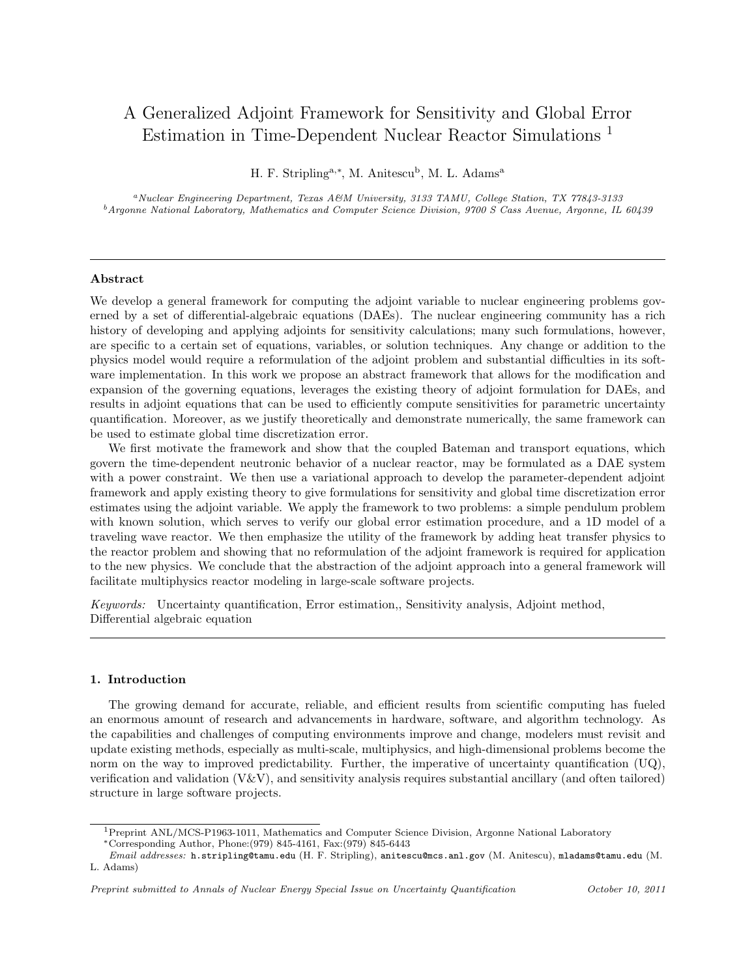# A Generalized Adjoint Framework for Sensitivity and Global Error Estimation in Time-Dependent Nuclear Reactor Simulations <sup>1</sup>

H. F. Stripling<sup>a,\*</sup>, M. Anitescu<sup>b</sup>, M. L. Adams<sup>a</sup>

<sup>a</sup>Nuclear Engineering Department, Texas A&M University, 3133 TAMU, College Station, TX 77843-3133 <sup>b</sup>Argonne National Laboratory, Mathematics and Computer Science Division, 9700 S Cass Avenue, Argonne, IL 60439

# Abstract

We develop a general framework for computing the adjoint variable to nuclear engineering problems governed by a set of differential-algebraic equations (DAEs). The nuclear engineering community has a rich history of developing and applying adjoints for sensitivity calculations; many such formulations, however, are specific to a certain set of equations, variables, or solution techniques. Any change or addition to the physics model would require a reformulation of the adjoint problem and substantial difficulties in its software implementation. In this work we propose an abstract framework that allows for the modification and expansion of the governing equations, leverages the existing theory of adjoint formulation for DAEs, and results in adjoint equations that can be used to efficiently compute sensitivities for parametric uncertainty quantification. Moreover, as we justify theoretically and demonstrate numerically, the same framework can be used to estimate global time discretization error.

We first motivate the framework and show that the coupled Bateman and transport equations, which govern the time-dependent neutronic behavior of a nuclear reactor, may be formulated as a DAE system with a power constraint. We then use a variational approach to develop the parameter-dependent adjoint framework and apply existing theory to give formulations for sensitivity and global time discretization error estimates using the adjoint variable. We apply the framework to two problems: a simple pendulum problem with known solution, which serves to verify our global error estimation procedure, and a 1D model of a traveling wave reactor. We then emphasize the utility of the framework by adding heat transfer physics to the reactor problem and showing that no reformulation of the adjoint framework is required for application to the new physics. We conclude that the abstraction of the adjoint approach into a general framework will facilitate multiphysics reactor modeling in large-scale software projects.

Keywords: Uncertainty quantification, Error estimation,, Sensitivity analysis, Adjoint method, Differential algebraic equation

#### 1. Introduction

The growing demand for accurate, reliable, and efficient results from scientific computing has fueled an enormous amount of research and advancements in hardware, software, and algorithm technology. As the capabilities and challenges of computing environments improve and change, modelers must revisit and update existing methods, especially as multi-scale, multiphysics, and high-dimensional problems become the norm on the way to improved predictability. Further, the imperative of uncertainty quantification  $(UQ)$ , verification and validation (V&V), and sensitivity analysis requires substantial ancillary (and often tailored) structure in large software projects.

<sup>1</sup>Preprint ANL/MCS-P1963-1011, Mathematics and Computer Science Division, Argonne National Laboratory

<sup>∗</sup>Corresponding Author, Phone:(979) 845-4161, Fax:(979) 845-6443

Email addresses: h.stripling@tamu.edu (H. F. Stripling), anitescu@mcs.anl.gov (M. Anitescu), mladams@tamu.edu (M. L. Adams)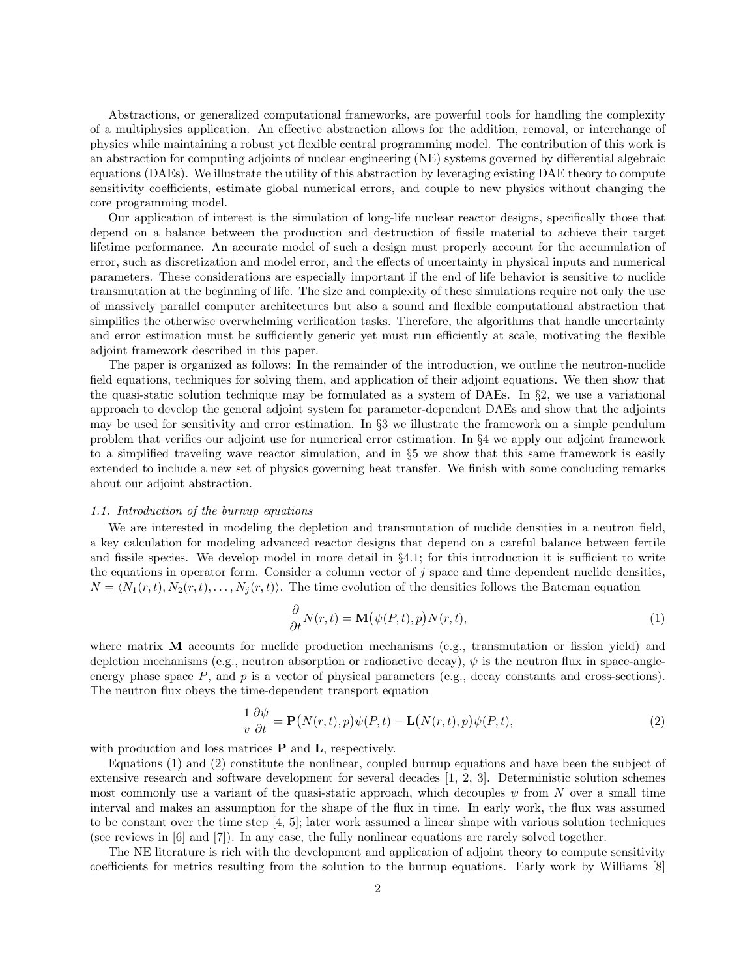Abstractions, or generalized computational frameworks, are powerful tools for handling the complexity of a multiphysics application. An effective abstraction allows for the addition, removal, or interchange of physics while maintaining a robust yet flexible central programming model. The contribution of this work is an abstraction for computing adjoints of nuclear engineering (NE) systems governed by differential algebraic equations (DAEs). We illustrate the utility of this abstraction by leveraging existing DAE theory to compute sensitivity coefficients, estimate global numerical errors, and couple to new physics without changing the core programming model.

Our application of interest is the simulation of long-life nuclear reactor designs, specifically those that depend on a balance between the production and destruction of fissile material to achieve their target lifetime performance. An accurate model of such a design must properly account for the accumulation of error, such as discretization and model error, and the effects of uncertainty in physical inputs and numerical parameters. These considerations are especially important if the end of life behavior is sensitive to nuclide transmutation at the beginning of life. The size and complexity of these simulations require not only the use of massively parallel computer architectures but also a sound and flexible computational abstraction that simplifies the otherwise overwhelming verification tasks. Therefore, the algorithms that handle uncertainty and error estimation must be sufficiently generic yet must run efficiently at scale, motivating the flexible adjoint framework described in this paper.

The paper is organized as follows: In the remainder of the introduction, we outline the neutron-nuclide field equations, techniques for solving them, and application of their adjoint equations. We then show that the quasi-static solution technique may be formulated as a system of DAEs. In §2, we use a variational approach to develop the general adjoint system for parameter-dependent DAEs and show that the adjoints may be used for sensitivity and error estimation. In §3 we illustrate the framework on a simple pendulum problem that verifies our adjoint use for numerical error estimation. In §4 we apply our adjoint framework to a simplified traveling wave reactor simulation, and in §5 we show that this same framework is easily extended to include a new set of physics governing heat transfer. We finish with some concluding remarks about our adjoint abstraction.

#### 1.1. Introduction of the burnup equations

We are interested in modeling the depletion and transmutation of nuclide densities in a neutron field, a key calculation for modeling advanced reactor designs that depend on a careful balance between fertile and fissile species. We develop model in more detail in §4.1; for this introduction it is sufficient to write the equations in operator form. Consider a column vector of  $j$  space and time dependent nuclide densities,  $N = \langle N_1(r, t), N_2(r, t), \ldots, N_j(r, t)\rangle$ . The time evolution of the densities follows the Bateman equation

$$
\frac{\partial}{\partial t}N(r,t) = \mathbf{M}(\psi(P,t),p)N(r,t),\tag{1}
$$

where matrix **M** accounts for nuclide production mechanisms (e.g., transmutation or fission yield) and depletion mechanisms (e.g., neutron absorption or radioactive decay),  $\psi$  is the neutron flux in space-angleenergy phase space  $P$ , and  $p$  is a vector of physical parameters (e.g., decay constants and cross-sections). The neutron flux obeys the time-dependent transport equation

$$
\frac{1}{v}\frac{\partial\psi}{\partial t} = \mathbf{P}\big(N(r,t),p\big)\psi(P,t) - \mathbf{L}\big(N(r,t),p\big)\psi(P,t),\tag{2}
$$

with production and loss matrices **P** and **L**, respectively.

Equations (1) and (2) constitute the nonlinear, coupled burnup equations and have been the subject of extensive research and software development for several decades [1, 2, 3]. Deterministic solution schemes most commonly use a variant of the quasi-static approach, which decouples  $\psi$  from N over a small time interval and makes an assumption for the shape of the flux in time. In early work, the flux was assumed to be constant over the time step [4, 5]; later work assumed a linear shape with various solution techniques (see reviews in [6] and [7]). In any case, the fully nonlinear equations are rarely solved together.

The NE literature is rich with the development and application of adjoint theory to compute sensitivity coefficients for metrics resulting from the solution to the burnup equations. Early work by Williams [8]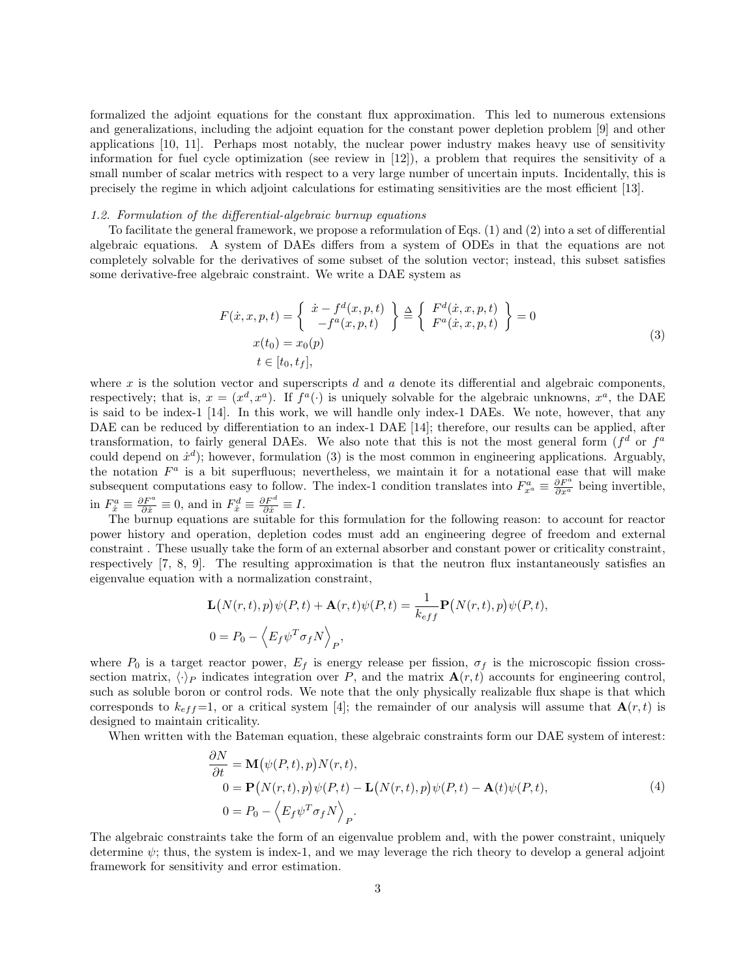formalized the adjoint equations for the constant flux approximation. This led to numerous extensions and generalizations, including the adjoint equation for the constant power depletion problem [9] and other applications [10, 11]. Perhaps most notably, the nuclear power industry makes heavy use of sensitivity information for fuel cycle optimization (see review in [12]), a problem that requires the sensitivity of a small number of scalar metrics with respect to a very large number of uncertain inputs. Incidentally, this is precisely the regime in which adjoint calculations for estimating sensitivities are the most efficient [13].

## 1.2. Formulation of the differential-algebraic burnup equations

To facilitate the general framework, we propose a reformulation of Eqs. (1) and (2) into a set of differential algebraic equations. A system of DAEs differs from a system of ODEs in that the equations are not completely solvable for the derivatives of some subset of the solution vector; instead, this subset satisfies some derivative-free algebraic constraint. We write a DAE system as

$$
F(\dot{x}, x, p, t) = \begin{cases} \dot{x} - f^d(x, p, t) \\ -f^a(x, p, t) \end{cases} \stackrel{\Delta}{=} \begin{cases} F^d(\dot{x}, x, p, t) \\ F^a(\dot{x}, x, p, t) \end{cases} = 0
$$
  
\n
$$
x(t_0) = x_0(p)
$$
  
\n
$$
t \in [t_0, t_f],
$$
\n(3)

where  $x$  is the solution vector and superscripts  $d$  and  $a$  denote its differential and algebraic components, respectively; that is,  $x = (x^d, x^a)$ . If  $f^a(\cdot)$  is uniquely solvable for the algebraic unknowns,  $x^a$ , the DAE is said to be index-1 [14]. In this work, we will handle only index-1 DAEs. We note, however, that any DAE can be reduced by differentiation to an index-1 DAE [14]; therefore, our results can be applied, after transformation, to fairly general DAEs. We also note that this is not the most general form  $(f^d$  or  $f^a$ could depend on  $\dot{x}^d$ ); however, formulation (3) is the most common in engineering applications. Arguably, the notation  $F^a$  is a bit superfluous; nevertheless, we maintain it for a notational ease that will make subsequent computations easy to follow. The index-1 condition translates into  $F_{x^a}^a \equiv \frac{\partial F^a}{\partial x^a}$  being invertible, in  $F^a_{\dot{x}} \equiv \frac{\partial F^a}{\partial \dot{x}} \equiv 0$ , and in  $F^d_{\dot{x}} \equiv \frac{\partial F^d}{\partial \dot{x}} \equiv I$ .

The burnup equations are suitable for this formulation for the following reason: to account for reactor power history and operation, depletion codes must add an engineering degree of freedom and external constraint . These usually take the form of an external absorber and constant power or criticality constraint, respectively [7, 8, 9]. The resulting approximation is that the neutron flux instantaneously satisfies an eigenvalue equation with a normalization constraint,

$$
\mathbf{L}\big(N(r,t),p\big)\psi(P,t)+\mathbf{A}(r,t)\psi(P,t)=\frac{1}{k_{eff}}\mathbf{P}\big(N(r,t),p\big)\psi(P,t),
$$
  

$$
0=P_0-\Big\langle E_f\psi^T\sigma_fN\Big\rangle_P,
$$

where  $P_0$  is a target reactor power,  $E_f$  is energy release per fission,  $\sigma_f$  is the microscopic fission crosssection matrix,  $\langle \cdot \rangle_P$  indicates integration over P, and the matrix  $\mathbf{A}(r, t)$  accounts for engineering control, such as soluble boron or control rods. We note that the only physically realizable flux shape is that which corresponds to  $k_{eff}=1$ , or a critical system [4]; the remainder of our analysis will assume that  $\mathbf{A}(r,t)$  is designed to maintain criticality.

When written with the Bateman equation, these algebraic constraints form our DAE system of interest:

$$
\frac{\partial N}{\partial t} = \mathbf{M}(\psi(P, t), p)N(r, t),\n0 = \mathbf{P}(N(r, t), p)\psi(P, t) - \mathbf{L}(N(r, t), p)\psi(P, t) - \mathbf{A}(t)\psi(P, t),\n0 = P_0 - \langle E_f \psi^T \sigma_f N \rangle_P.
$$
\n(4)

The algebraic constraints take the form of an eigenvalue problem and, with the power constraint, uniquely determine  $\psi$ ; thus, the system is index-1, and we may leverage the rich theory to develop a general adjoint framework for sensitivity and error estimation.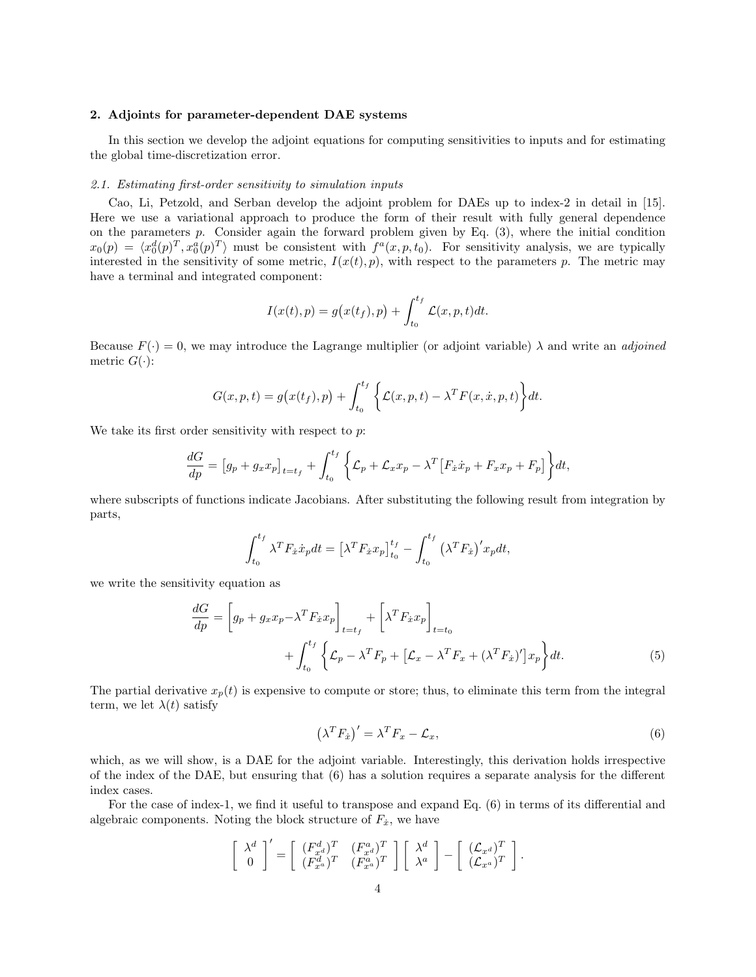# 2. Adjoints for parameter-dependent DAE systems

In this section we develop the adjoint equations for computing sensitivities to inputs and for estimating the global time-discretization error.

## 2.1. Estimating first-order sensitivity to simulation inputs

Cao, Li, Petzold, and Serban develop the adjoint problem for DAEs up to index-2 in detail in [15]. Here we use a variational approach to produce the form of their result with fully general dependence on the parameters  $p$ . Consider again the forward problem given by Eq.  $(3)$ , where the initial condition  $x_0(p) = \langle x_0^d(p)^T, x_0^a(p)^T \rangle$  must be consistent with  $f^a(x, p, t_0)$ . For sensitivity analysis, we are typically interested in the sensitivity of some metric,  $I(x(t), p)$ , with respect to the parameters p. The metric may have a terminal and integrated component:

$$
I(x(t),p) = g(x(t_f),p) + \int_{t_0}^{t_f} \mathcal{L}(x,p,t)dt.
$$

Because  $F(\cdot) = 0$ , we may introduce the Lagrange multiplier (or adjoint variable)  $\lambda$  and write an *adjoined* metric  $G(\cdot)$ :

$$
G(x, p, t) = g(x(t_f), p) + \int_{t_0}^{t_f} \left\{ \mathcal{L}(x, p, t) - \lambda^T F(x, \dot{x}, p, t) \right\} dt.
$$

We take its first order sensitivity with respect to  $p$ :

$$
\frac{dG}{dp} = \left[g_p + g_x x_p\right]_{t=t_f} + \int_{t_0}^{t_f} \left\{\mathcal{L}_p + \mathcal{L}_x x_p - \lambda^T \left[F_x \dot{x}_p + F_x x_p + F_p\right]\right\} dt,
$$

where subscripts of functions indicate Jacobians. After substituting the following result from integration by parts,

$$
\int_{t_0}^{t_f} \lambda^T F_{\dot{x}} \dot{x}_p dt = \left[ \lambda^T F_{\dot{x}} x_p \right]_{t_0}^{t_f} - \int_{t_0}^{t_f} \left( \lambda^T F_{\dot{x}} \right)' x_p dt,
$$

we write the sensitivity equation as

$$
\frac{dG}{dp} = \left[ g_p + g_x x_p - \lambda^T F_{\dot{x}} x_p \right]_{t=t_f} + \left[ \lambda^T F_{\dot{x}} x_p \right]_{t=t_0} + \int_{t_0}^{t_f} \left\{ \mathcal{L}_p - \lambda^T F_p + \left[ \mathcal{L}_x - \lambda^T F_x + (\lambda^T F_{\dot{x}})' \right] x_p \right\} dt.
$$
\n(5)

The partial derivative  $x_p(t)$  is expensive to compute or store; thus, to eliminate this term from the integral term, we let  $\lambda(t)$  satisfy

$$
\left(\lambda^T F_{\dot{x}}\right)' = \lambda^T F_x - \mathcal{L}_x,\tag{6}
$$

.

which, as we will show, is a DAE for the adjoint variable. Interestingly, this derivation holds irrespective of the index of the DAE, but ensuring that (6) has a solution requires a separate analysis for the different index cases.

For the case of index-1, we find it useful to transpose and expand Eq. (6) in terms of its differential and algebraic components. Noting the block structure of  $F_{\dot{x}}$ , we have

$$
\begin{bmatrix} \lambda^d \\ 0 \end{bmatrix}' = \begin{bmatrix} (F_{x^d}^d)^T & (F_{x^d}^a)^T \\ (F_{x^a}^d)^T & (F_{x^a}^a)^T \end{bmatrix} \begin{bmatrix} \lambda^d \\ \lambda^a \end{bmatrix} - \begin{bmatrix} (\mathcal{L}_{x^d})^T \\ (\mathcal{L}_{x^a})^T \end{bmatrix}
$$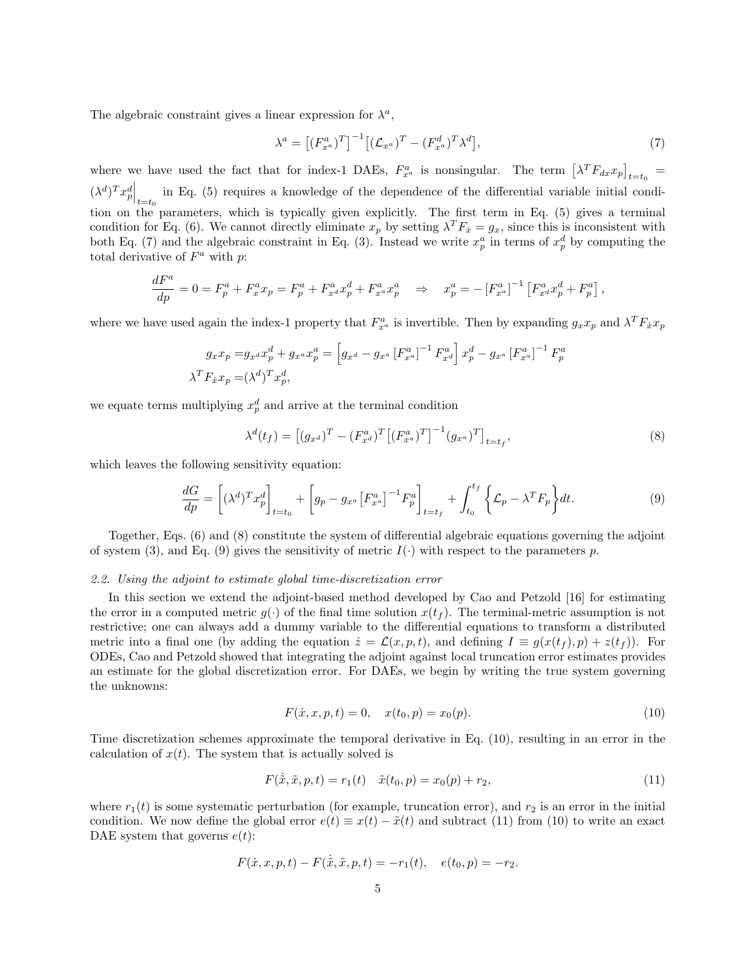The algebraic constraint gives a linear expression for  $\lambda^a$ ,

$$
\lambda^a = \left[ (F_{x^a}^a)^T \right]^{-1} \left[ (\mathcal{L}_{x^a})^T - (F_{x^a}^d)^T \lambda^d \right],\tag{7}
$$

where we have used the fact that for index-1 DAEs,  $F_{x^a}^a$  is nonsingular. The term  $\left[\lambda^T F_{dx} x_p\right]_{t=t_0}$  $(\lambda^d)^T x_p^d\Big|_{t=t_0}$  in Eq. (5) requires a knowledge of the dependence of the differential variable initial condition on the parameters, which is typically given explicitly. The first term in Eq. (5) gives a terminal condition for Eq. (6). We cannot directly eliminate  $x_p$  by setting  $\lambda^T F_x = g_x$ , since this is inconsistent with both Eq. (7) and the algebraic constraint in Eq. (3). Instead we write  $x_p^a$  in terms of  $x_p^d$  by computing the total derivative of  $F^a$  with p:

$$
\frac{dF^{a}}{dp}=0=F_{p}^{a}+F_{x}^{a}x_{p}=F_{p}^{a}+F_{x}^{a}x_{p}^{d}+F_{x}^{a}x_{p}^{a} \quad \Rightarrow \quad x_{p}^{a}=-\left[F_{x^{a}}^{a}\right]^{-1}\left[F_{x^{d}}^{a}x_{p}^{d}+F_{p}^{a}\right],
$$

where we have used again the index-1 property that  $F_{x^a}^a$  is invertible. Then by expanding  $g_x x_p$  and  $\lambda^T F_x x_p$ 

$$
g_x x_p = g_{x^d} x_p^d + g_{x^a} x_p^a = \left[ g_{x^d} - g_{x^a} \left[ F_{x^a}^a \right]^{-1} F_{x^d}^a \right] x_p^d - g_{x^a} \left[ F_{x^a}^a \right]^{-1} F_p^a
$$
  

$$
\lambda^T F_{\dot{x}} x_p = (\lambda^d)^T x_p^d,
$$

we equate terms multiplying  $x_p^d$  and arrive at the terminal condition

$$
\lambda^{d}(t_{f}) = \left[ (g_{x^{d}})^{T} - (F_{x^{d}}^{a})^{T} \left[ (F_{x^{a}}^{a})^{T} \right]^{-1} (g_{x^{a}})^{T} \right]_{t=t_{f}},
$$
\n(8)

which leaves the following sensitivity equation:

$$
\frac{dG}{dp} = \left[ (\lambda^d)^T x_p^d \right]_{t=t_0} + \left[ g_p - g_{x^a} \left[ F_{x^a}^a \right]^{-1} F_p^a \right]_{t=t_f} + \int_{t_0}^{t_f} \left\{ \mathcal{L}_p - \lambda^T F_p \right\} dt. \tag{9}
$$

Together, Eqs. (6) and (8) constitute the system of differential algebraic equations governing the adjoint of system (3), and Eq. (9) gives the sensitivity of metric  $I(\cdot)$  with respect to the parameters p.

## 2.2. Using the adjoint to estimate global time-discretization error

In this section we extend the adjoint-based method developed by Cao and Petzold [16] for estimating the error in a computed metric  $q(\cdot)$  of the final time solution  $x(t_f)$ . The terminal-metric assumption is not restrictive; one can always add a dummy variable to the differential equations to transform a distributed metric into a final one (by adding the equation  $\dot{z} = \mathcal{L}(x, p, t)$ , and defining  $I \equiv g(x(t_f), p) + z(t_f)$ ). For ODEs, Cao and Petzold showed that integrating the adjoint against local truncation error estimates provides an estimate for the global discretization error. For DAEs, we begin by writing the true system governing the unknowns:

$$
F(\dot{x}, x, p, t) = 0, \quad x(t_0, p) = x_0(p). \tag{10}
$$

Time discretization schemes approximate the temporal derivative in Eq. (10), resulting in an error in the calculation of  $x(t)$ . The system that is actually solved is

$$
F(\dot{\tilde{x}}, \tilde{x}, p, t) = r_1(t) \quad \tilde{x}(t_0, p) = x_0(p) + r_2,
$$
\n(11)

where  $r_1(t)$  is some systematic perturbation (for example, truncation error), and  $r_2$  is an error in the initial condition. We now define the global error  $e(t) \equiv x(t) - \tilde{x}(t)$  and subtract (11) from (10) to write an exact DAE system that governs  $e(t)$ :

$$
F(\dot{x}, x, p, t) - F(\dot{\tilde{x}}, \tilde{x}, p, t) = -r_1(t), \quad e(t_0, p) = -r_2.
$$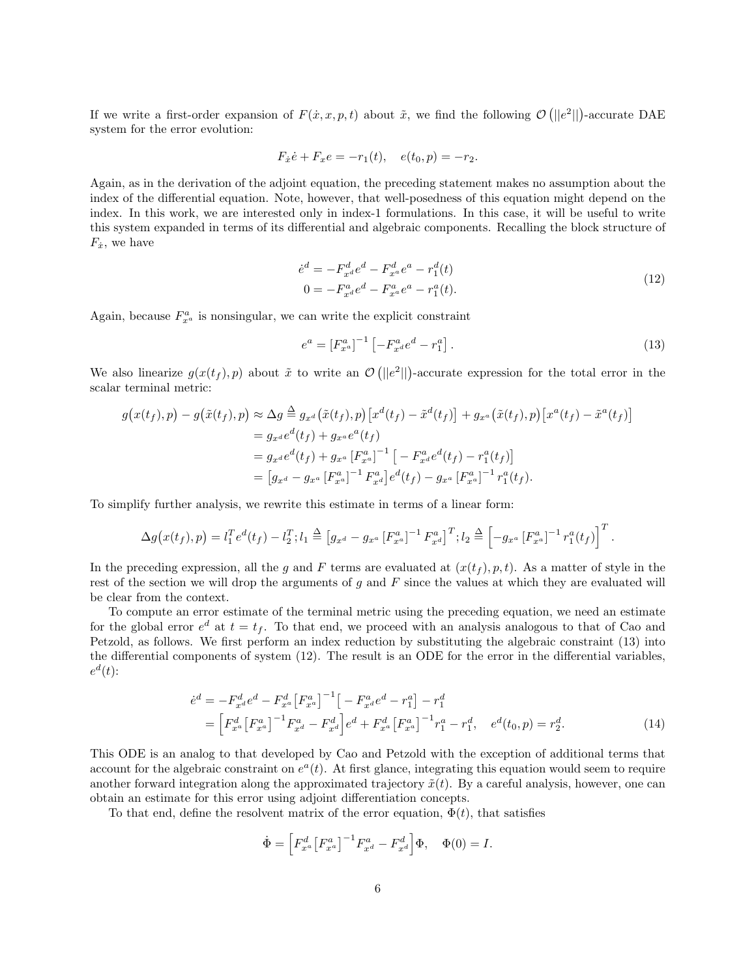If we write a first-order expansion of  $F(\dot{x}, x, p, t)$  about  $\tilde{x}$ , we find the following  $\mathcal{O}(|e^2||)$ -accurate DAE system for the error evolution:

$$
F_{\dot{x}}\dot{e} + F_{x}e = -r_1(t), \quad e(t_0, p) = -r_2.
$$

Again, as in the derivation of the adjoint equation, the preceding statement makes no assumption about the index of the differential equation. Note, however, that well-posedness of this equation might depend on the index. In this work, we are interested only in index-1 formulations. In this case, it will be useful to write this system expanded in terms of its differential and algebraic components. Recalling the block structure of  $F_{\dot{x}}$ , we have

$$
\dot{e}^d = -F_{x^d}^d e^d - F_{x^a}^d e^a - r_1^d(t) \n0 = -F_{x^d}^a e^d - F_{x^a}^a e^a - r_1^a(t).
$$
\n(12)

Again, because  $F_{x^a}^a$  is nonsingular, we can write the explicit constraint

$$
e^a = [F_{x^a}^a]^{-1} \left[ -F_{x^d}^a e^d - r_1^a \right]. \tag{13}
$$

We also linearize  $g(x(t_f), p)$  about  $\tilde{x}$  to write an  $\mathcal{O}(|e^2||)$ -accurate expression for the total error in the scalar terminal metric:

$$
g(x(t_f), p) - g(\tilde{x}(t_f), p) \approx \Delta g \stackrel{\Delta}{=} g_{x^d}(\tilde{x}(t_f), p) [x^d(t_f) - \tilde{x}^d(t_f)] + g_{x^a}(\tilde{x}(t_f), p) [x^a(t_f) - \tilde{x}^a(t_f)]
$$
  
\n
$$
= g_{x^d}e^d(t_f) + g_{x^a} [F_{x^a}^a]^{-1} [-F_{x^d}^a e^d(t_f) - r_1^a(t_f)]
$$
  
\n
$$
= [g_{x^d} - g_{x^a} [F_{x^a}^a]^{-1} F_{x^d}^a] e^d(t_f) - g_{x^a} [F_{x^a}^a]^{-1} r_1^a(t_f).
$$

To simplify further analysis, we rewrite this estimate in terms of a linear form:

$$
\Delta g(x(t_f), p) = l_1^T e^d(t_f) - l_2^T; l_1 \triangleq [g_{x^d} - g_{x^a} [F_{x^a}^a]^{-1} F_{x^d}^a]^T; l_2 \triangleq [-g_{x^a} [F_{x^a}^a]^{-1} r_1^a(t_f)]^T.
$$

In the preceding expression, all the g and F terms are evaluated at  $(x(t_f), p, t)$ . As a matter of style in the rest of the section we will drop the arguments of  $g$  and  $F$  since the values at which they are evaluated will be clear from the context.

To compute an error estimate of the terminal metric using the preceding equation, we need an estimate for the global error  $e^d$  at  $t = t_f$ . To that end, we proceed with an analysis analogous to that of Cao and Petzold, as follows. We first perform an index reduction by substituting the algebraic constraint (13) into the differential components of system (12). The result is an ODE for the error in the differential variables,  $e^d(t)$ :

$$
\dot{e}^{d} = -F_{x^{d}}^{d} e^{d} - F_{x^{a}}^{d} \left[F_{x^{a}}^{a}\right]^{-1} \left[ -F_{x^{d}}^{a} e^{d} - r_{1}^{a}\right] - r_{1}^{d}
$$
\n
$$
= \left[F_{x^{a}}^{d} \left[F_{x^{a}}^{a}\right]^{-1} F_{x^{d}}^{a} - F_{x^{d}}^{d}\right] e^{d} + F_{x^{a}}^{d} \left[F_{x^{a}}^{a}\right]^{-1} r_{1}^{a} - r_{1}^{d}, \quad e^{d}(t_{0}, p) = r_{2}^{d}.
$$
\n(14)

This ODE is an analog to that developed by Cao and Petzold with the exception of additional terms that account for the algebraic constraint on  $e^a(t)$ . At first glance, integrating this equation would seem to require another forward integration along the approximated trajectory  $\tilde{x}(t)$ . By a careful analysis, however, one can obtain an estimate for this error using adjoint differentiation concepts.

To that end, define the resolvent matrix of the error equation,  $\Phi(t)$ , that satisfies

$$
\dot{\Phi} = \left[ F_{x^a}^d \left[ F_{x^a}^a \right]^{-1} F_{x^d}^a - F_{x^d}^d \right] \Phi, \quad \Phi(0) = I.
$$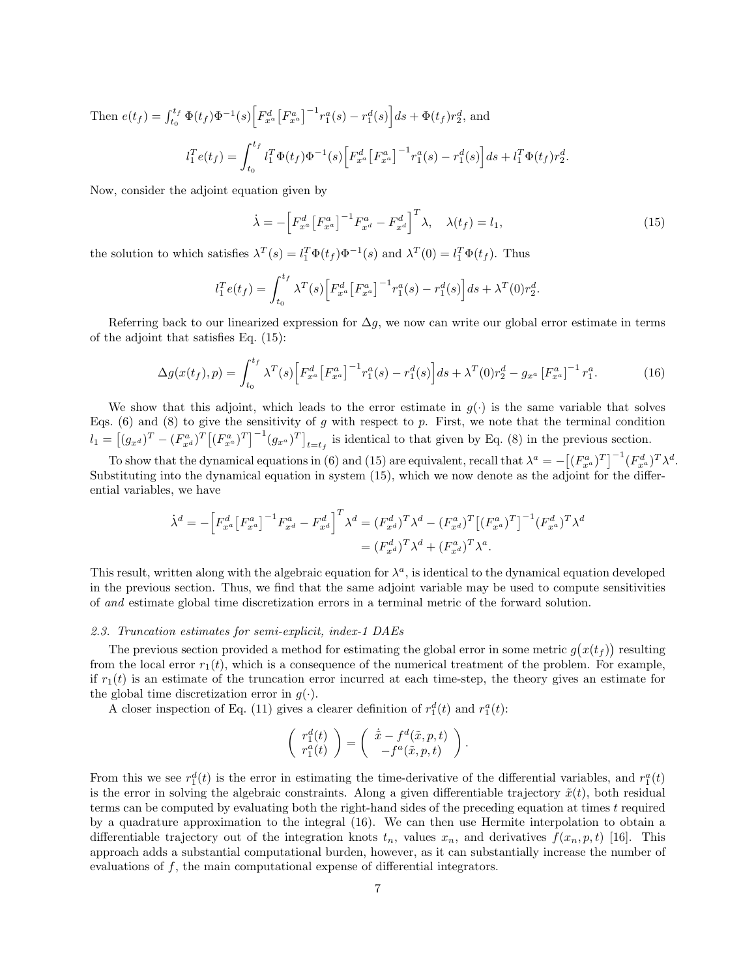Then  $e(t_f) = \int_{t_0}^{t_f} \Phi(t_f) \Phi^{-1}(s) \Big[ F_{x^a}^d \Big[ F_{x^a}^a \Big]^{-1} r_1^a(s) - r_1^d(s) \Big] ds + \Phi(t_f) r_2^d$ , and  $l_1^T e(t_f) = \int^{t_f}$  $t_{0}$  $l_1^T\Phi(t_f)\Phi^{-1}(s)\Bigl[ F_{x^a}^d \bigl[F_{x^a}^a \bigr]^{-1} r_1^a(s) - r_1^d(s) \Bigr] ds + l_1^T\Phi(t_f) r_2^d.$ 

Now, consider the adjoint equation given by

$$
\dot{\lambda} = -\left[F_{x^a}^d \left[F_{x^a}^a\right]^{-1} F_{x^d}^a - F_{x^d}^d\right]^T \lambda, \quad \lambda(t_f) = l_1,\tag{15}
$$

the solution to which satisfies  $\lambda^T(s) = l_1^T \Phi(t_f) \Phi^{-1}(s)$  and  $\lambda^T(0) = l_1^T \Phi(t_f)$ . Thus

$$
l_1^T e(t_f) = \int_{t_0}^{t_f} \lambda^T(s) \Big[ F_{x^a}^d \big[ F_{x^a}^a \big]^{-1} r_1^a(s) - r_1^d(s) \Big] ds + \lambda^T(0) r_2^d.
$$

Referring back to our linearized expression for  $\Delta g$ , we now can write our global error estimate in terms of the adjoint that satisfies Eq. (15):

$$
\Delta g(x(t_f), p) = \int_{t_0}^{t_f} \lambda^T(s) \Big[ F_{x^a}^d \left[ F_{x^a}^a \right]^{-1} r_1^a(s) - r_1^d(s) \Big] ds + \lambda^T(0) r_2^d - g_{x^a} \left[ F_{x^a}^a \right]^{-1} r_1^a. \tag{16}
$$

We show that this adjoint, which leads to the error estimate in  $q(\cdot)$  is the same variable that solves Eqs. (6) and (8) to give the sensitivity of g with respect to p. First, we note that the terminal condition  $l_1 = \left[ (g_{x^d})^T - (F_{x^d}^a)^T \right] (F_{x^a}^a)^T \right]_{t=t_f}^{-1}$  is identical to that given by Eq. (8) in the previous section.

To show that the dynamical equations in (6) and (15) are equivalent, recall that  $\lambda^a = -[(F_{x^a}^a)^T]^{-1}(F_{x^a}^d)^T \lambda^d$ . Substituting into the dynamical equation in system (15), which we now denote as the adjoint for the differential variables, we have

$$
\dot{\lambda}^{d} = -\Big[F_{x^{a}}^{d}\left[F_{x^{a}}^{a}\right]^{-1}F_{x^{d}}^{a} - F_{x^{d}}^{d}\Big]^{T}\lambda^{d} = (F_{x^{d}}^{d})^{T}\lambda^{d} - (F_{x^{d}}^{a})^{T}\left[(F_{x^{a}}^{a})^{T}\right]^{-1}(F_{x^{a}}^{d})^{T}\lambda^{d}
$$

$$
= (F_{x^{d}}^{d})^{T}\lambda^{d} + (F_{x^{d}}^{a})^{T}\lambda^{a}.
$$

This result, written along with the algebraic equation for  $\lambda^a$ , is identical to the dynamical equation developed in the previous section. Thus, we find that the same adjoint variable may be used to compute sensitivities of and estimate global time discretization errors in a terminal metric of the forward solution.

# 2.3. Truncation estimates for semi-explicit, index-1 DAEs

The previous section provided a method for estimating the global error in some metric  $g(x(t_f))$  resulting from the local error  $r_1(t)$ , which is a consequence of the numerical treatment of the problem. For example, if  $r_1(t)$  is an estimate of the truncation error incurred at each time-step, the theory gives an estimate for the global time discretization error in  $q(.)$ .

A closer inspection of Eq. (11) gives a clearer definition of  $r_1^d(t)$  and  $r_1^a(t)$ :

$$
\left(\begin{array}{c}r_1^d(t)\\r_1^a(t)\end{array}\right)=\left(\begin{array}{c}\dot{\tilde x}-f^d(\tilde x,p,t)\\-f^a(\tilde x,p,t)\end{array}\right).
$$

From this we see  $r_1^d(t)$  is the error in estimating the time-derivative of the differential variables, and  $r_1^a(t)$ is the error in solving the algebraic constraints. Along a given differentiable trajectory  $\tilde{x}(t)$ , both residual terms can be computed by evaluating both the right-hand sides of the preceding equation at times  $t$  required by a quadrature approximation to the integral (16). We can then use Hermite interpolation to obtain a differentiable trajectory out of the integration knots  $t_n$ , values  $x_n$ , and derivatives  $f(x_n, p, t)$  [16]. This approach adds a substantial computational burden, however, as it can substantially increase the number of evaluations of f, the main computational expense of differential integrators.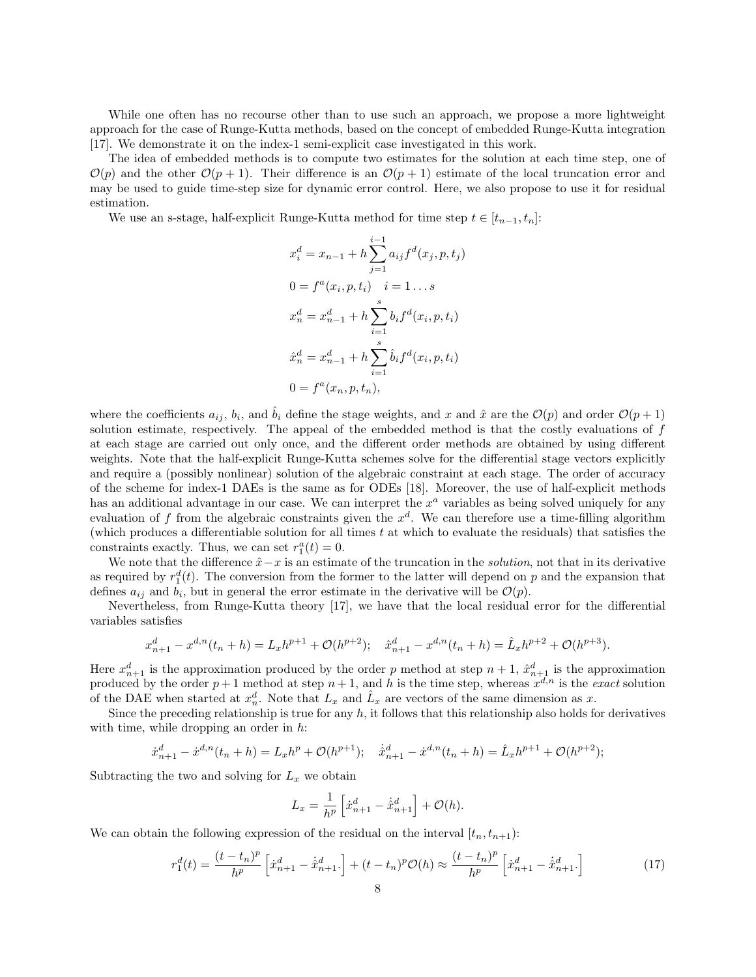While one often has no recourse other than to use such an approach, we propose a more lightweight approach for the case of Runge-Kutta methods, based on the concept of embedded Runge-Kutta integration [17]. We demonstrate it on the index-1 semi-explicit case investigated in this work.

The idea of embedded methods is to compute two estimates for the solution at each time step, one of  $\mathcal{O}(p)$  and the other  $\mathcal{O}(p+1)$ . Their difference is an  $\mathcal{O}(p+1)$  estimate of the local truncation error and may be used to guide time-step size for dynamic error control. Here, we also propose to use it for residual estimation.

We use an s-stage, half-explicit Runge-Kutta method for time step  $t \in [t_{n-1}, t_n]$ :

$$
x_i^d = x_{n-1} + h \sum_{j=1}^{i-1} a_{ij} f^d(x_j, p, t_j)
$$
  
\n
$$
0 = f^a(x_i, p, t_i) \quad i = 1...s
$$
  
\n
$$
x_n^d = x_{n-1}^d + h \sum_{i=1}^s b_i f^d(x_i, p, t_i)
$$
  
\n
$$
\hat{x}_n^d = x_{n-1}^d + h \sum_{i=1}^s \hat{b}_i f^d(x_i, p, t_i)
$$
  
\n
$$
0 = f^a(x_n, p, t_n),
$$

where the coefficients  $a_{ij}$ ,  $b_i$ , and  $\hat{b}_i$  define the stage weights, and x and  $\hat{x}$  are the  $\mathcal{O}(p)$  and order  $\mathcal{O}(p+1)$ solution estimate, respectively. The appeal of the embedded method is that the costly evaluations of f at each stage are carried out only once, and the different order methods are obtained by using different weights. Note that the half-explicit Runge-Kutta schemes solve for the differential stage vectors explicitly and require a (possibly nonlinear) solution of the algebraic constraint at each stage. The order of accuracy of the scheme for index-1 DAEs is the same as for ODEs [18]. Moreover, the use of half-explicit methods has an additional advantage in our case. We can interpret the  $x^a$  variables as being solved uniquely for any evaluation of f from the algebraic constraints given the  $x^d$ . We can therefore use a time-filling algorithm (which produces a differentiable solution for all times  $t$  at which to evaluate the residuals) that satisfies the constraints exactly. Thus, we can set  $r_1^a(t) = 0$ .

We note that the difference  $\hat{x}-x$  is an estimate of the truncation in the *solution*, not that in its derivative as required by  $r_1^d(t)$ . The conversion from the former to the latter will depend on p and the expansion that defines  $a_{ij}$  and  $b_i$ , but in general the error estimate in the derivative will be  $\mathcal{O}(p)$ .

Nevertheless, from Runge-Kutta theory [17], we have that the local residual error for the differential variables satisfies

$$
x_{n+1}^d - x^{d,n}(t_n + h) = L_x h^{p+1} + \mathcal{O}(h^{p+2}); \quad \hat{x}_{n+1}^d - x^{d,n}(t_n + h) = \hat{L}_x h^{p+2} + \mathcal{O}(h^{p+3}).
$$

Here  $x_{n+1}^d$  is the approximation produced by the order p method at step  $n+1$ ,  $\hat{x}_{n+1}^d$  is the approximation produced by the order  $p+1$  method at step  $n+1$ , and h is the time step, whereas  $x^{d,n}$  is the *exact* solution of the DAE when started at  $x_n^d$ . Note that  $L_x$  and  $\hat{L}_x$  are vectors of the same dimension as x.

Since the preceding relationship is true for any  $h$ , it follows that this relationship also holds for derivatives with time, while dropping an order in  $h$ .

 $\dot{x}_{n+1}^d - \dot{x}^{d,n}(t_n + h) = L_x h^p + \mathcal{O}(h^{p+1}); \quad \dot{\tilde{x}}_{n+1}^d - \dot{x}^{d,n}(t_n + h) = \hat{L}_x h^{p+1} + \mathcal{O}(h^{p+2});$ 

Subtracting the two and solving for  $L_x$  we obtain

$$
L_x = \frac{1}{h^p} \left[ \dot{x}_{n+1}^d - \dot{\hat{x}}_{n+1}^d \right] + \mathcal{O}(h).
$$

We can obtain the following expression of the residual on the interval  $[t_n, t_{n+1})$ :

$$
r_1^d(t) = \frac{(t - t_n)^p}{h^p} \left[ \dot{x}_{n+1}^d - \dot{\dot{x}}_{n+1}^d \right] + (t - t_n)^p \mathcal{O}(h) \approx \frac{(t - t_n)^p}{h^p} \left[ \dot{x}_{n+1}^d - \dot{\dot{x}}_{n+1}^d \right] \tag{17}
$$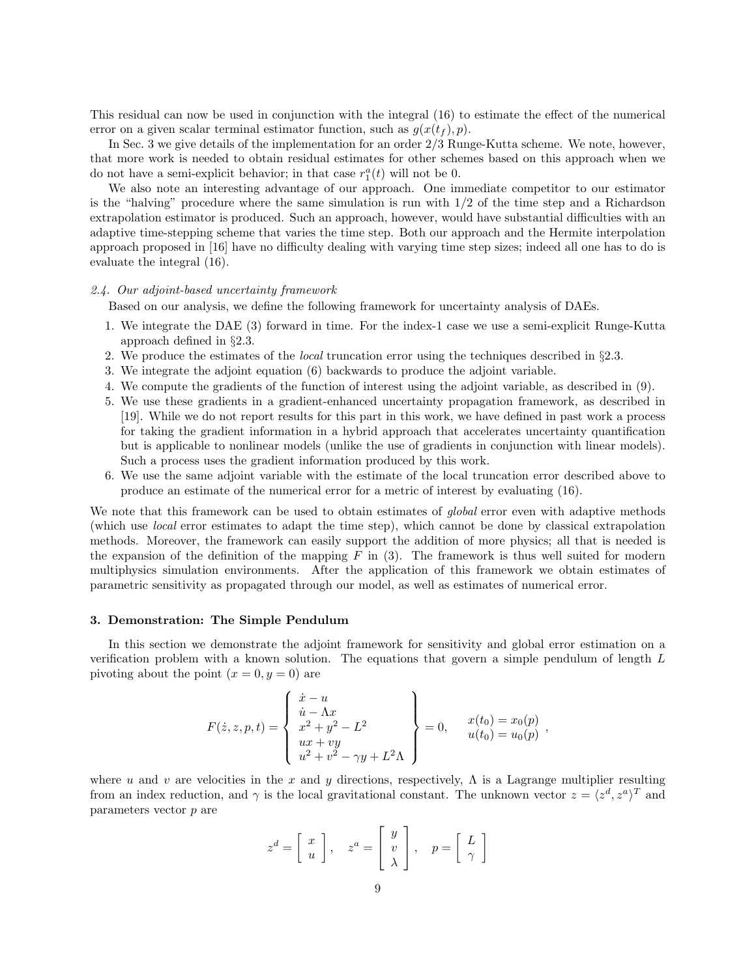This residual can now be used in conjunction with the integral (16) to estimate the effect of the numerical error on a given scalar terminal estimator function, such as  $g(x(t_f), p)$ .

In Sec. 3 we give details of the implementation for an order 2/3 Runge-Kutta scheme. We note, however, that more work is needed to obtain residual estimates for other schemes based on this approach when we do not have a semi-explicit behavior; in that case  $r_1^a(t)$  will not be 0.

We also note an interesting advantage of our approach. One immediate competitor to our estimator is the "halving" procedure where the same simulation is run with  $1/2$  of the time step and a Richardson extrapolation estimator is produced. Such an approach, however, would have substantial difficulties with an adaptive time-stepping scheme that varies the time step. Both our approach and the Hermite interpolation approach proposed in [16] have no difficulty dealing with varying time step sizes; indeed all one has to do is evaluate the integral (16).

# 2.4. Our adjoint-based uncertainty framework

Based on our analysis, we define the following framework for uncertainty analysis of DAEs.

- 1. We integrate the DAE (3) forward in time. For the index-1 case we use a semi-explicit Runge-Kutta approach defined in §2.3.
- 2. We produce the estimates of the local truncation error using the techniques described in §2.3.
- 3. We integrate the adjoint equation (6) backwards to produce the adjoint variable.
- 4. We compute the gradients of the function of interest using the adjoint variable, as described in (9).
- 5. We use these gradients in a gradient-enhanced uncertainty propagation framework, as described in [19]. While we do not report results for this part in this work, we have defined in past work a process for taking the gradient information in a hybrid approach that accelerates uncertainty quantification but is applicable to nonlinear models (unlike the use of gradients in conjunction with linear models). Such a process uses the gradient information produced by this work.
- 6. We use the same adjoint variable with the estimate of the local truncation error described above to produce an estimate of the numerical error for a metric of interest by evaluating (16).

We note that this framework can be used to obtain estimates of *global* error even with adaptive methods (which use local error estimates to adapt the time step), which cannot be done by classical extrapolation methods. Moreover, the framework can easily support the addition of more physics; all that is needed is the expansion of the definition of the mapping  $F$  in (3). The framework is thus well suited for modern multiphysics simulation environments. After the application of this framework we obtain estimates of parametric sensitivity as propagated through our model, as well as estimates of numerical error.

# 3. Demonstration: The Simple Pendulum

In this section we demonstrate the adjoint framework for sensitivity and global error estimation on a verification problem with a known solution. The equations that govern a simple pendulum of length L pivoting about the point  $(x = 0, y = 0)$  are

$$
F(\dot{z}, z, p, t) = \begin{cases} \dot{x} - u \\ \dot{u} - \Lambda x \\ x^2 + y^2 - L^2 \\ ux + vy \\ u^2 + v^2 - \gamma y + L^2 \Lambda \end{cases} = 0, \quad \begin{aligned} x(t_0) &= x_0(p) \\ u(t_0) &= u_0(p) \end{aligned},
$$

where u and v are velocities in the x and y directions, respectively,  $\Lambda$  is a Lagrange multiplier resulting from an index reduction, and  $\gamma$  is the local gravitational constant. The unknown vector  $z = (z^d, z^a)^T$  and parameters vector p are

$$
z^{d} = \left[ \begin{array}{c} x \\ u \end{array} \right], \quad z^{a} = \left[ \begin{array}{c} y \\ v \\ \lambda \end{array} \right], \quad p = \left[ \begin{array}{c} L \\ \gamma \end{array} \right]
$$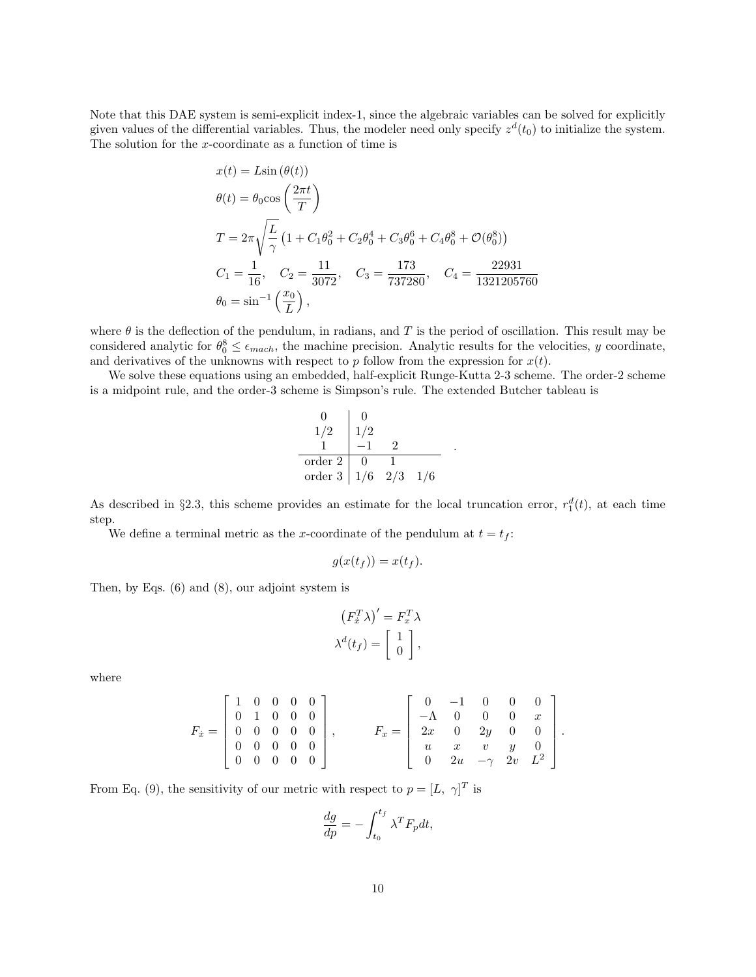Note that this DAE system is semi-explicit index-1, since the algebraic variables can be solved for explicitly given values of the differential variables. Thus, the modeler need only specify  $z^d(t_0)$  to initialize the system. The solution for the  $x$ -coordinate as a function of time is

$$
x(t) = L\sin(\theta(t))
$$
  
\n
$$
\theta(t) = \theta_0 \cos\left(\frac{2\pi t}{T}\right)
$$
  
\n
$$
T = 2\pi \sqrt{\frac{L}{\gamma}} \left(1 + C_1 \theta_0^2 + C_2 \theta_0^4 + C_3 \theta_0^6 + C_4 \theta_0^8 + \mathcal{O}(\theta_0^8)\right)
$$
  
\n
$$
C_1 = \frac{1}{16}, \quad C_2 = \frac{11}{3072}, \quad C_3 = \frac{173}{737280}, \quad C_4 = \frac{22931}{1321205760}
$$
  
\n
$$
\theta_0 = \sin^{-1}\left(\frac{x_0}{L}\right),
$$

where  $\theta$  is the deflection of the pendulum, in radians, and T is the period of oscillation. This result may be considered analytic for  $\theta_0^8 \leq \epsilon_{mach}$ , the machine precision. Analytic results for the velocities, y coordinate, and derivatives of the unknowns with respect to p follow from the expression for  $x(t)$ .

We solve these equations using an embedded, half-explicit Runge-Kutta 2-3 scheme. The order-2 scheme is a midpoint rule, and the order-3 scheme is Simpson's rule. The extended Butcher tableau is

$$
\begin{array}{c|cc}\n0 & 0 \\
1/2 & 1/2 \\
\hline\n1 & -1 & 2 \\
\hline\n\end{array}
$$
\norder 2

\norder 3

\n
$$
\begin{array}{c|cc}\n1/6 & 2/3 & 1/6 \\
\hline\n\end{array}
$$

.

As described in §2.3, this scheme provides an estimate for the local truncation error,  $r_1^d(t)$ , at each time step.

We define a terminal metric as the x-coordinate of the pendulum at  $t = t_f$ :

$$
g(x(t_f)) = x(t_f).
$$

Then, by Eqs. (6) and (8), our adjoint system is

$$
(F_x^T \lambda)' = F_x^T \lambda
$$

$$
\lambda^d(t_f) = \begin{bmatrix} 1 \\ 0 \end{bmatrix},
$$

where

$$
F_{\dot{x}} = \begin{bmatrix} 1 & 0 & 0 & 0 & 0 \\ 0 & 1 & 0 & 0 & 0 \\ 0 & 0 & 0 & 0 & 0 \\ 0 & 0 & 0 & 0 & 0 \\ 0 & 0 & 0 & 0 & 0 \end{bmatrix}, \qquad \qquad F_{x} = \begin{bmatrix} 0 & -1 & 0 & 0 & 0 \\ -\Lambda & 0 & 0 & 0 & x \\ 2x & 0 & 2y & 0 & 0 \\ u & x & v & y & 0 \\ 0 & 2u & -\gamma & 2v & L^2 \end{bmatrix}.
$$

From Eq. (9), the sensitivity of our metric with respect to  $p = [L, \gamma]^T$  is

$$
\frac{dg}{dp} = -\int_{t_0}^{t_f} \lambda^T F_p dt,
$$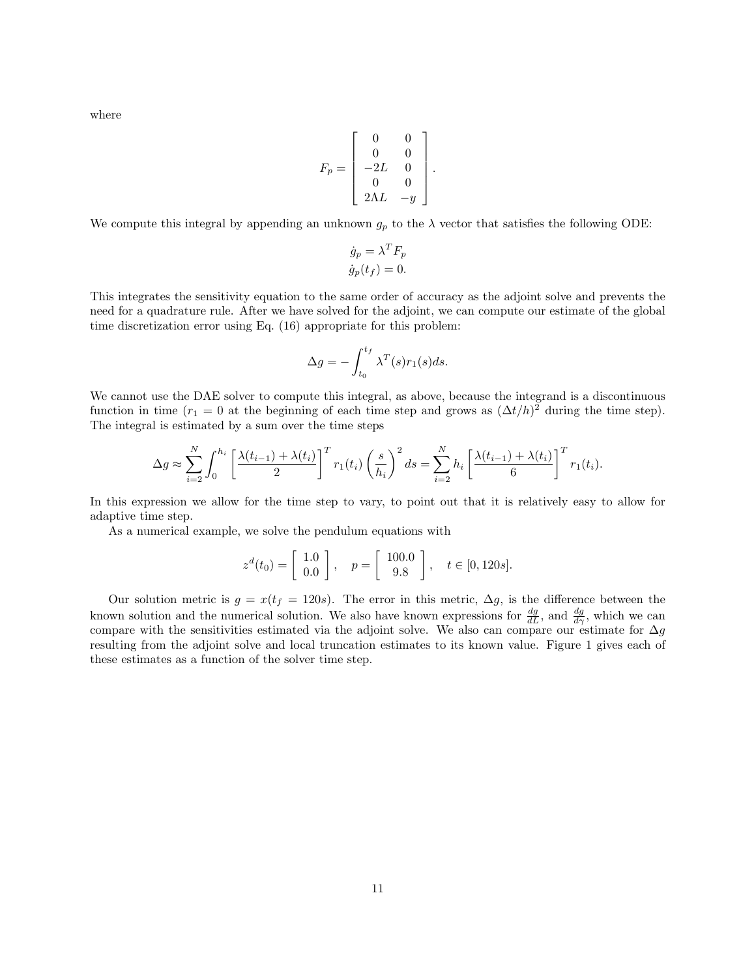where

$$
F_p = \begin{bmatrix} 0 & 0 \\ 0 & 0 \\ -2L & 0 \\ 0 & 0 \\ 2\Lambda L & -y \end{bmatrix}.
$$

We compute this integral by appending an unknown  $g_p$  to the  $\lambda$  vector that satisfies the following ODE:

$$
\dot{g}_p = \lambda^T F_p
$$

$$
\dot{g}_p(t_f) = 0.
$$

This integrates the sensitivity equation to the same order of accuracy as the adjoint solve and prevents the need for a quadrature rule. After we have solved for the adjoint, we can compute our estimate of the global time discretization error using Eq. (16) appropriate for this problem:

$$
\Delta g = -\int_{t_0}^{t_f} \lambda^T(s) r_1(s) ds.
$$

We cannot use the DAE solver to compute this integral, as above, because the integrand is a discontinuous function in time ( $r_1 = 0$  at the beginning of each time step and grows as  $(\Delta t/h)^2$  during the time step). The integral is estimated by a sum over the time steps

$$
\Delta g \approx \sum_{i=2}^N \int_0^{h_i} \left[ \frac{\lambda(t_{i-1}) + \lambda(t_i)}{2} \right]^T r_1(t_i) \left( \frac{s}{h_i} \right)^2 ds = \sum_{i=2}^N h_i \left[ \frac{\lambda(t_{i-1}) + \lambda(t_i)}{6} \right]^T r_1(t_i).
$$

In this expression we allow for the time step to vary, to point out that it is relatively easy to allow for adaptive time step.

As a numerical example, we solve the pendulum equations with

$$
z^{d}(t_{0}) = \begin{bmatrix} 1.0 \\ 0.0 \end{bmatrix}, \quad p = \begin{bmatrix} 100.0 \\ 9.8 \end{bmatrix}, \quad t \in [0, 120s].
$$

Our solution metric is  $g = x(t_f = 120s)$ . The error in this metric,  $\Delta g$ , is the difference between the known solution and the numerical solution. We also have known expressions for  $\frac{dg}{dL}$ , and  $\frac{dg}{d\gamma}$ , which we can compare with the sensitivities estimated via the adjoint solve. We also can compare our estimate for  $\Delta g$ resulting from the adjoint solve and local truncation estimates to its known value. Figure 1 gives each of these estimates as a function of the solver time step.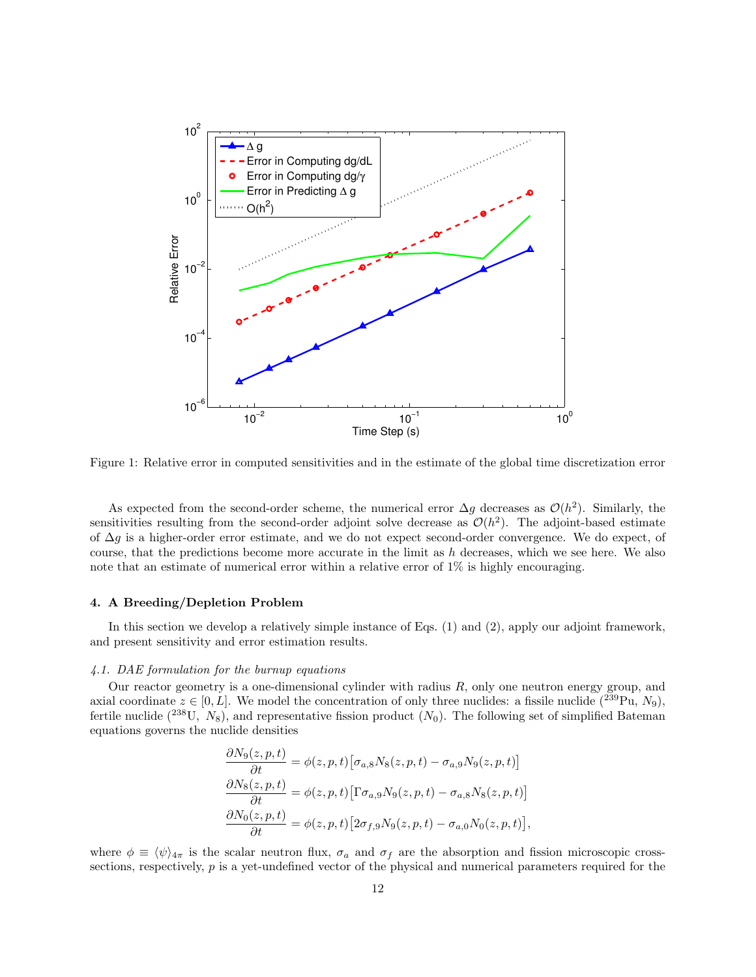

Figure 1: Relative error in computed sensitivities and in the estimate of the global time discretization error

As expected from the second-order scheme, the numerical error  $\Delta g$  decreases as  $\mathcal{O}(h^2)$ . Similarly, the sensitivities resulting from the second-order adjoint solve decrease as  $\mathcal{O}(h^2)$ . The adjoint-based estimate of ∆g is a higher-order error estimate, and we do not expect second-order convergence. We do expect, of course, that the predictions become more accurate in the limit as  $h$  decreases, which we see here. We also note that an estimate of numerical error within a relative error of 1% is highly encouraging.

# 4. A Breeding/Depletion Problem

In this section we develop a relatively simple instance of Eqs. (1) and (2), apply our adjoint framework, and present sensitivity and error estimation results.

## 4.1. DAE formulation for the burnup equations

Our reactor geometry is a one-dimensional cylinder with radius  $R$ , only one neutron energy group, and axial coordinate  $z \in [0, L]$ . We model the concentration of only three nuclides: a fissile nuclide (<sup>239</sup>Pu, N<sub>9</sub>), fertile nuclide (<sup>238</sup>U,  $N_8$ ), and representative fission product ( $N_0$ ). The following set of simplified Bateman equations governs the nuclide densities

$$
\frac{\partial N_9(z, p, t)}{\partial t} = \phi(z, p, t) [\sigma_{a,8} N_8(z, p, t) - \sigma_{a,9} N_9(z, p, t)]
$$
  

$$
\frac{\partial N_8(z, p, t)}{\partial t} = \phi(z, p, t) [\Gamma \sigma_{a,9} N_9(z, p, t) - \sigma_{a,8} N_8(z, p, t)]
$$
  

$$
\frac{\partial N_0(z, p, t)}{\partial t} = \phi(z, p, t) [2\sigma_{f,9} N_9(z, p, t) - \sigma_{a,0} N_0(z, p, t)],
$$

where  $\phi \equiv \langle \psi \rangle_{4\pi}$  is the scalar neutron flux,  $\sigma_a$  and  $\sigma_f$  are the absorption and fission microscopic crosssections, respectively, p is a yet-undefined vector of the physical and numerical parameters required for the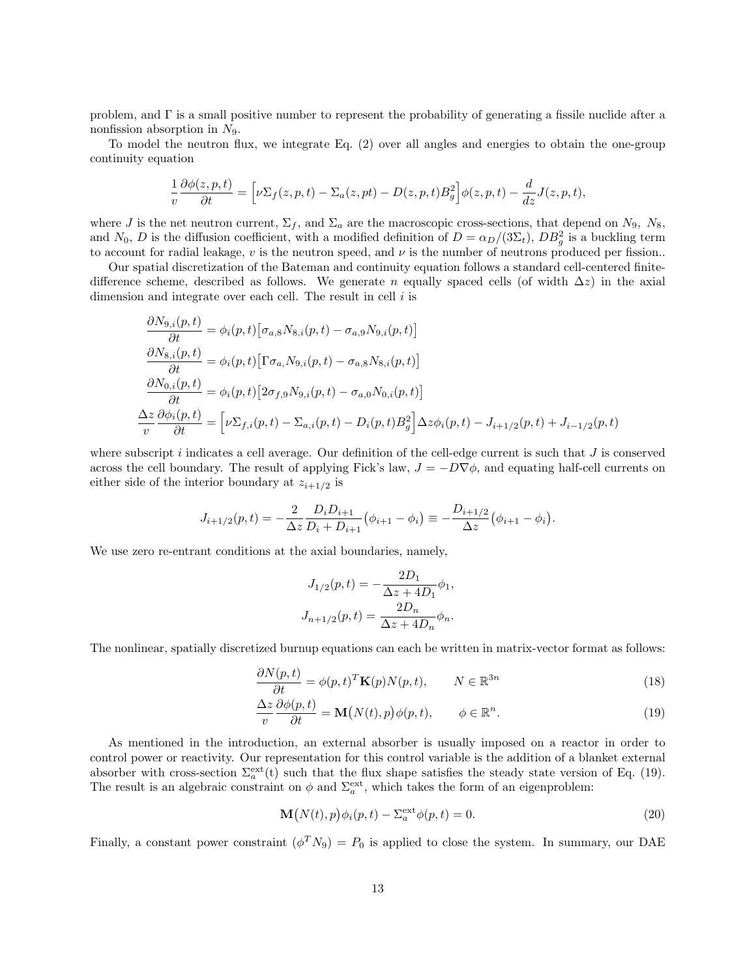problem, and  $\Gamma$  is a small positive number to represent the probability of generating a fissile nuclide after a nonfission absorption in  $N<sub>9</sub>$ .

To model the neutron flux, we integrate Eq. (2) over all angles and energies to obtain the one-group continuity equation

$$
\frac{1}{v}\frac{\partial \phi(z,p,t)}{\partial t} = \left[\nu \Sigma_f(z,p,t) - \Sigma_a(z,pt) - D(z,p,t)B_g^2\right] \phi(z,p,t) - \frac{d}{dz}J(z,p,t),
$$

where J is the net neutron current,  $\Sigma_f$ , and  $\Sigma_a$  are the macroscopic cross-sections, that depend on  $N_9$ ,  $N_8$ , and N<sub>0</sub>, D is the diffusion coefficient, with a modified definition of  $D = \alpha_D/(3\Sigma_t)$ ,  $DB_g^2$  is a buckling term to account for radial leakage,  $v$  is the neutron speed, and  $\nu$  is the number of neutrons produced per fission..

Our spatial discretization of the Bateman and continuity equation follows a standard cell-centered finitedifference scheme, described as follows. We generate n equally spaced cells (of width  $\Delta z$ ) in the axial dimension and integrate over each cell. The result in cell  $i$  is

$$
\frac{\partial N_{9,i}(p,t)}{\partial t} = \phi_i(p,t) [\sigma_{a,8} N_{8,i}(p,t) - \sigma_{a,9} N_{9,i}(p,t)]
$$
\n
$$
\frac{\partial N_{8,i}(p,t)}{\partial t} = \phi_i(p,t) [\Gamma \sigma_{a,} N_{9,i}(p,t) - \sigma_{a,8} N_{8,i}(p,t)]
$$
\n
$$
\frac{\partial N_{0,i}(p,t)}{\partial t} = \phi_i(p,t) [2\sigma_{f,9} N_{9,i}(p,t) - \sigma_{a,0} N_{0,i}(p,t)]
$$
\n
$$
\frac{\Delta z}{v} \frac{\partial \phi_i(p,t)}{\partial t} = \left[ \nu \Sigma_{f,i}(p,t) - \Sigma_{a,i}(p,t) - D_i(p,t) B_g^2 \right] \Delta z \phi_i(p,t) - J_{i+1/2}(p,t) + J_{i-1/2}(p,t)
$$

where subscript  $i$  indicates a cell average. Our definition of the cell-edge current is such that  $J$  is conserved across the cell boundary. The result of applying Fick's law,  $J = -D\nabla\phi$ , and equating half-cell currents on either side of the interior boundary at  $z_{i+1/2}$  is

$$
J_{i+1/2}(p,t) = -\frac{2}{\Delta z} \frac{D_i D_{i+1}}{D_i + D_{i+1}} (\phi_{i+1} - \phi_i) \equiv -\frac{D_{i+1/2}}{\Delta z} (\phi_{i+1} - \phi_i).
$$

We use zero re-entrant conditions at the axial boundaries, namely,

$$
J_{1/2}(p,t) = -\frac{2D_1}{\Delta z + 4D_1} \phi_1,
$$
  

$$
J_{n+1/2}(p,t) = \frac{2D_n}{\Delta z + 4D_n} \phi_n.
$$

The nonlinear, spatially discretized burnup equations can each be written in matrix-vector format as follows:

$$
\frac{\partial N(p,t)}{\partial t} = \phi(p,t)^T \mathbf{K}(p) N(p,t), \qquad N \in \mathbb{R}^{3n}
$$
\n(18)

$$
\frac{\Delta z}{v}\frac{\partial \phi(p,t)}{\partial t} = \mathbf{M}(N(t),p)\phi(p,t), \qquad \phi \in \mathbb{R}^n.
$$
\n(19)

As mentioned in the introduction, an external absorber is usually imposed on a reactor in order to control power or reactivity. Our representation for this control variable is the addition of a blanket external absorber with cross-section  $\Sigma_a^{\text{ext}}(t)$  such that the flux shape satisfies the steady state version of Eq. (19). The result is an algebraic constraint on  $\phi$  and  $\Sigma_a^{\text{ext}}$ , which takes the form of an eigenproblem:

$$
\mathbf{M}(N(t),p)\phi_i(p,t) - \Sigma_a^{\text{ext}}\phi(p,t) = 0.
$$
\n(20)

Finally, a constant power constraint  $(\phi^T N_9) = P_0$  is applied to close the system. In summary, our DAE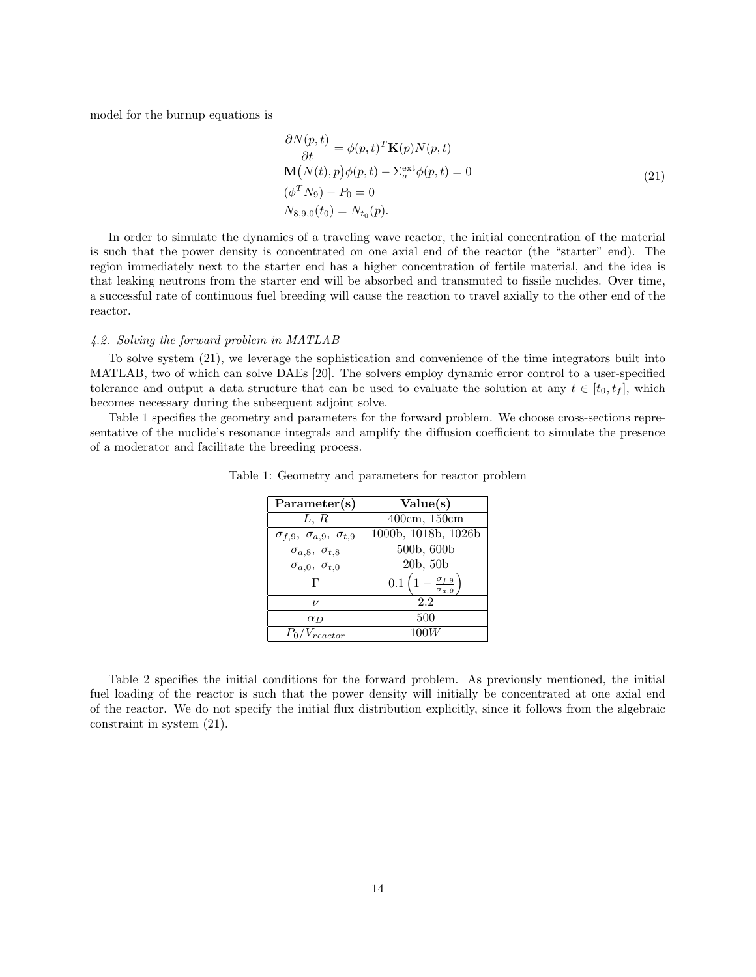model for the burnup equations is

$$
\frac{\partial N(p,t)}{\partial t} = \phi(p,t)^T \mathbf{K}(p) N(p,t)
$$
  
\n
$$
\mathbf{M}(N(t), p)\phi(p,t) - \Sigma_a^{\text{ext}}\phi(p,t) = 0
$$
  
\n
$$
(\phi^T N_9) - P_0 = 0
$$
  
\n
$$
N_{8,9,0}(t_0) = N_{t_0}(p).
$$
\n(21)

In order to simulate the dynamics of a traveling wave reactor, the initial concentration of the material is such that the power density is concentrated on one axial end of the reactor (the "starter" end). The region immediately next to the starter end has a higher concentration of fertile material, and the idea is that leaking neutrons from the starter end will be absorbed and transmuted to fissile nuclides. Over time, a successful rate of continuous fuel breeding will cause the reaction to travel axially to the other end of the reactor.

### 4.2. Solving the forward problem in MATLAB

To solve system (21), we leverage the sophistication and convenience of the time integrators built into MATLAB, two of which can solve DAEs [20]. The solvers employ dynamic error control to a user-specified tolerance and output a data structure that can be used to evaluate the solution at any  $t \in [t_0, t_f]$ , which becomes necessary during the subsequent adjoint solve.

Table 1 specifies the geometry and parameters for the forward problem. We choose cross-sections representative of the nuclide's resonance integrals and amplify the diffusion coefficient to simulate the presence of a moderator and facilitate the breeding process.

| Parameter(s)                               | Value(s)                                              |
|--------------------------------------------|-------------------------------------------------------|
| L, R                                       | 400cm, 150cm                                          |
| $\sigma_{f,9}, \sigma_{a,9}, \sigma_{t,9}$ | 1000b, 1018b, 1026b                                   |
| $\sigma_{a,8}, \sigma_{t,8}$               | 500b, 600b                                            |
| $\sigma_{a,0}, \sigma_{t,0}$               | 20b, 50b                                              |
| Г                                          | $0.1\left(1-\frac{\sigma_{f,9}}{\sigma_{a,9}}\right)$ |
| $\overline{U}$                             | 2.2                                                   |
| $\alpha_D$                                 | 500                                                   |
| $V_{reactor}$<br>$P_0/$                    | 100W                                                  |

Table 1: Geometry and parameters for reactor problem

Table 2 specifies the initial conditions for the forward problem. As previously mentioned, the initial fuel loading of the reactor is such that the power density will initially be concentrated at one axial end of the reactor. We do not specify the initial flux distribution explicitly, since it follows from the algebraic constraint in system (21).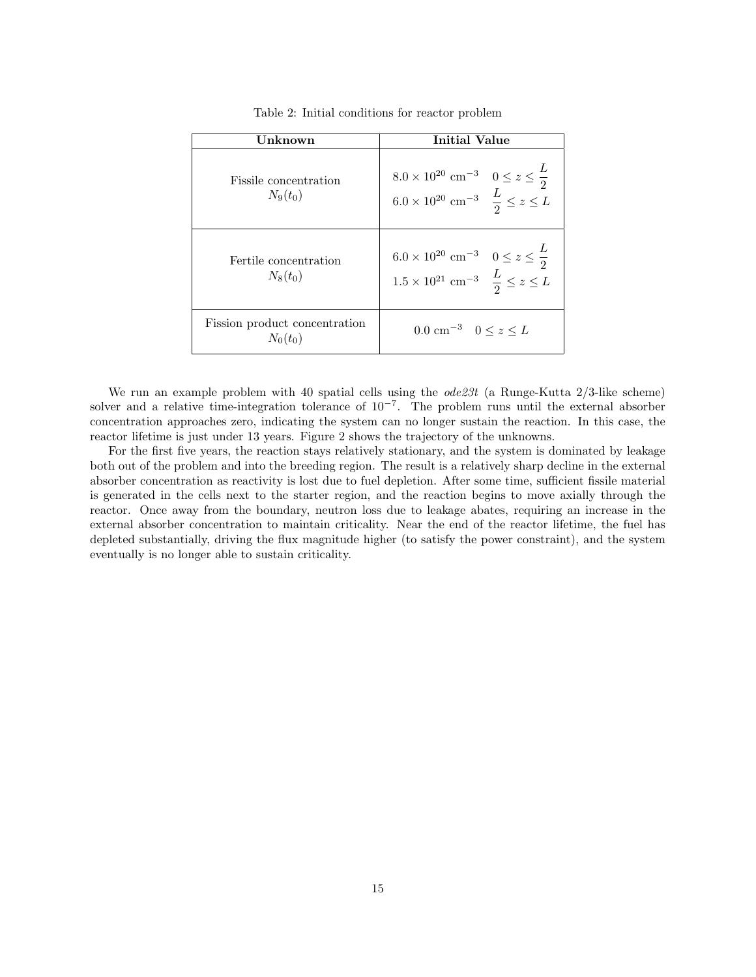| inknown                                     | <b>Initial Value</b>                                                                                                               |  |
|---------------------------------------------|------------------------------------------------------------------------------------------------------------------------------------|--|
| Fissile concentration<br>$N_9(t_0)$         | $8.0 \times 10^{20}$ cm <sup>-3</sup> $0 \le z \le \frac{L}{2}$<br>$6.0 \times 10^{20}$ cm <sup>-3</sup> $\frac{L}{2} \le z \le L$ |  |
| Fertile concentration<br>$N_8(t_0)$         | $6.0 \times 10^{20}$ cm <sup>-3</sup> $0 \le z \le \frac{L}{2}$<br>$1.5 \times 10^{21}$ cm <sup>-3</sup> $\frac{L}{2} \le z \le L$ |  |
| Fission product concentration<br>$N_0(t_0)$ | 0.0 cm <sup>-3</sup> 0 < z < L                                                                                                     |  |

Table 2: Initial conditions for reactor problem

We run an example problem with 40 spatial cells using the  $ode23t$  (a Runge-Kutta 2/3-like scheme) solver and a relative time-integration tolerance of  $10^{-7}$ . The problem runs until the external absorber concentration approaches zero, indicating the system can no longer sustain the reaction. In this case, the reactor lifetime is just under 13 years. Figure 2 shows the trajectory of the unknowns.

For the first five years, the reaction stays relatively stationary, and the system is dominated by leakage both out of the problem and into the breeding region. The result is a relatively sharp decline in the external absorber concentration as reactivity is lost due to fuel depletion. After some time, sufficient fissile material is generated in the cells next to the starter region, and the reaction begins to move axially through the reactor. Once away from the boundary, neutron loss due to leakage abates, requiring an increase in the external absorber concentration to maintain criticality. Near the end of the reactor lifetime, the fuel has depleted substantially, driving the flux magnitude higher (to satisfy the power constraint), and the system eventually is no longer able to sustain criticality.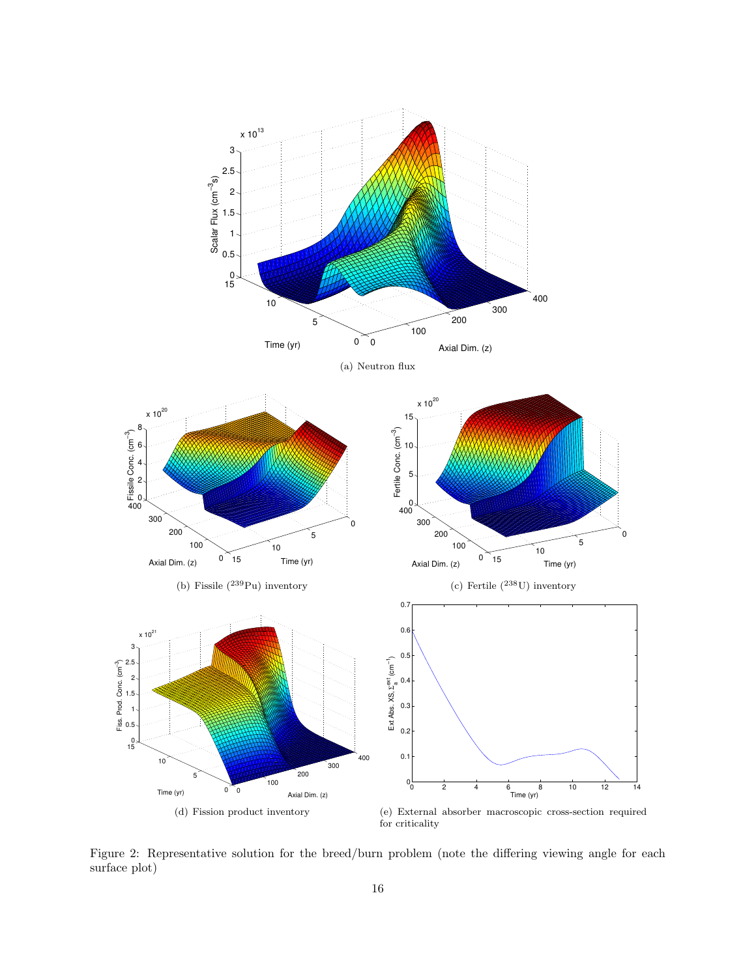

Figure 2: Representative solution for the breed/burn problem (note the differing viewing angle for each surface plot)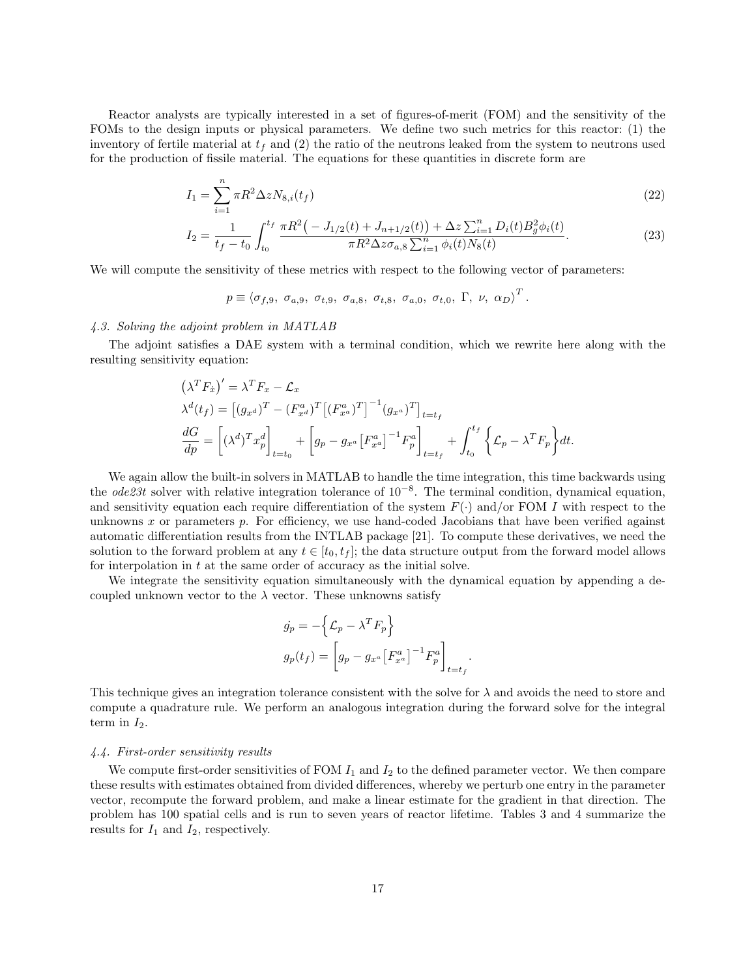Reactor analysts are typically interested in a set of figures-of-merit (FOM) and the sensitivity of the FOMs to the design inputs or physical parameters. We define two such metrics for this reactor: (1) the inventory of fertile material at  $t_f$  and (2) the ratio of the neutrons leaked from the system to neutrons used for the production of fissile material. The equations for these quantities in discrete form are

$$
I_1 = \sum_{i=1}^{n} \pi R^2 \Delta z N_{8,i}(t_f)
$$
\n(22)

$$
I_2 = \frac{1}{t_f - t_0} \int_{t_0}^{t_f} \frac{\pi R^2 \left( -J_{1/2}(t) + J_{n+1/2}(t) \right) + \Delta z \sum_{i=1}^n D_i(t) B_g^2 \phi_i(t)}{\pi R^2 \Delta z \sigma_{a,8} \sum_{i=1}^n \phi_i(t) N_8(t)}.
$$
\n(23)

We will compute the sensitivity of these metrics with respect to the following vector of parameters:

$$
p \equiv \langle \sigma_{f,9}, \sigma_{a,9}, \sigma_{t,9}, \sigma_{a,8}, \sigma_{t,8}, \sigma_{a,0}, \sigma_{t,0}, \Gamma, \nu, \alpha_D \rangle^T.
$$

# 4.3. Solving the adjoint problem in MATLAB

The adjoint satisfies a DAE system with a terminal condition, which we rewrite here along with the resulting sensitivity equation:

$$
\begin{aligned}\n\left(\lambda^T F_{\dot{x}}\right)' &= \lambda^T F_x - \mathcal{L}_x \\
\lambda^d(t_f) &= \left[ (g_{x^d})^T - (F_{x^d}^a)^T \left[ (F_{x^a}^a)^T \right]^{-1} (g_{x^a})^T \right]_{t=t_f} \\
\frac{dG}{dp} &= \left[ (\lambda^d)^T x_p^d \right]_{t=t_0} + \left[ g_p - g_{x^a} \left[ F_{x^a}^a \right]^{-1} F_p^a \right]_{t=t_f} + \int_{t_0}^{t_f} \left\{ \mathcal{L}_p - \lambda^T F_p \right\} dt.\n\end{aligned}
$$

We again allow the built-in solvers in MATLAB to handle the time integration, this time backwards using the *ode23t* solver with relative integration tolerance of 10<sup>-8</sup>. The terminal condition, dynamical equation, and sensitivity equation each require differentiation of the system  $F(\cdot)$  and/or FOM I with respect to the unknowns  $x$  or parameters  $p$ . For efficiency, we use hand-coded Jacobians that have been verified against automatic differentiation results from the INTLAB package [21]. To compute these derivatives, we need the solution to the forward problem at any  $t \in [t_0, t_f]$ ; the data structure output from the forward model allows for interpolation in  $t$  at the same order of accuracy as the initial solve.

We integrate the sensitivity equation simultaneously with the dynamical equation by appending a decoupled unknown vector to the  $\lambda$  vector. These unknowns satisfy

$$
\dot{g_p} = -\left\{ \mathcal{L}_p - \lambda^T F_p \right\}
$$

$$
g_p(t_f) = \left[ g_p - g_{x^a} \left[ F_{x^a}^a \right]^{-1} F_p^a \right]_{t=t_f}
$$

.

This technique gives an integration tolerance consistent with the solve for  $\lambda$  and avoids the need to store and compute a quadrature rule. We perform an analogous integration during the forward solve for the integral term in  $I_2$ .

## 4.4. First-order sensitivity results

We compute first-order sensitivities of FOM  $I_1$  and  $I_2$  to the defined parameter vector. We then compare these results with estimates obtained from divided differences, whereby we perturb one entry in the parameter vector, recompute the forward problem, and make a linear estimate for the gradient in that direction. The problem has 100 spatial cells and is run to seven years of reactor lifetime. Tables 3 and 4 summarize the results for  $I_1$  and  $I_2$ , respectively.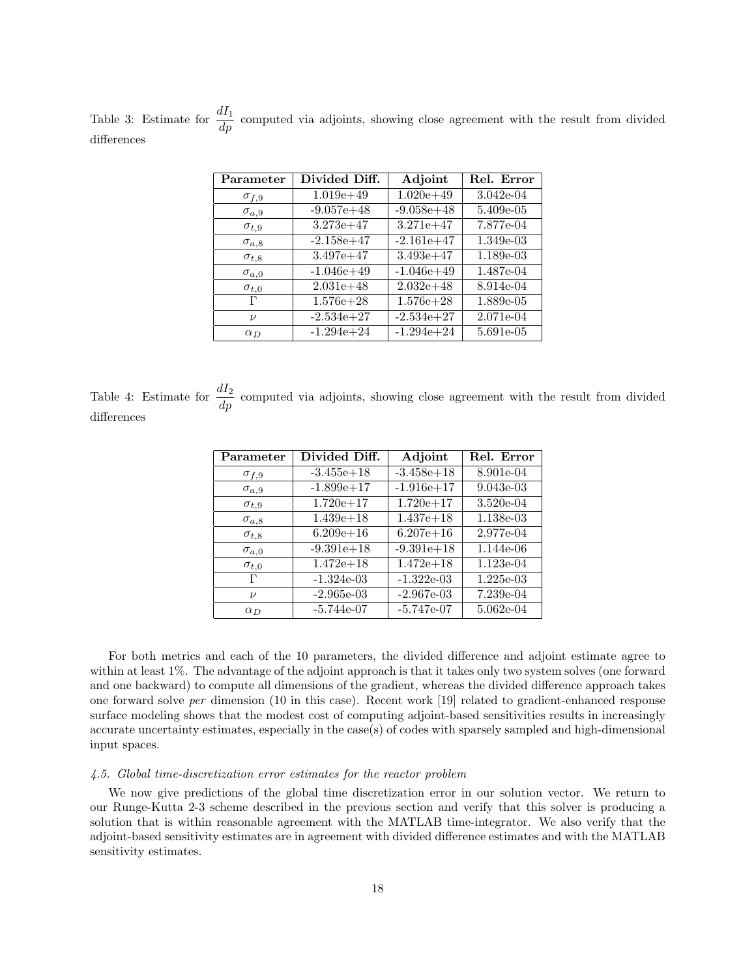Table 3: Estimate for  $\frac{dI_1}{dp}$  computed via adjoints, showing close agreement with the result from divided differences

| Parameter          | Divided Diff.  | Adjoint        | Rel. Error  |
|--------------------|----------------|----------------|-------------|
| $\sigma_{f,9}$     | $1.019e + 49$  | $1.020e + 49$  | $3.042e-04$ |
| $\sigma_{a,9}$     | $-9.057e + 48$ | $-9.058e + 48$ | 5.409e-05   |
| $\sigma_{t,9}$     | $3.273e+47$    | $3.271e+47$    | 7.877e-04   |
| $\sigma_{a.8}$     | $-2.158e + 47$ | $-2.161e+47$   | $1.349e-03$ |
| $\sigma_{t,8}$     | $3.497e+47$    | $3.493e+47$    | 1.189e-03   |
| $\sigma_{a,0}$     | $-1.046e+49$   | $-1.046e + 49$ | 1.487e-04   |
| $\sigma_{t,0}$     | $2.031e+48$    | $2.032e+48$    | 8.914e-04   |
| Г                  | $1.576e + 28$  | $1.576e + 28$  | 1.889e-05   |
| $\boldsymbol{\nu}$ | $-2.534e+27$   | $-2.534e + 27$ | 2.071e-04   |
| $\alpha_D$         | $-1.294e + 24$ | $-1.294e + 24$ | 5.691e-05   |

Table 4: Estimate for  $\frac{dI_2}{dp}$  computed via adjoints, showing close agreement with the result from divided differences

| Parameter        | Divided Diff. | Adjoint        | Rel. Error  |
|------------------|---------------|----------------|-------------|
| $\sigma_{f,9}$   | $-3.455e+18$  | $-3.458e + 18$ | 8.901e-04   |
| $\sigma_{a,9}$   | $-1.899e+17$  | $-1.916e+17$   | $9.043e-03$ |
| $\sigma_{t,9}$   | $1.720e + 17$ | $1.720e + 17$  | 3.520e-04   |
| $\sigma_{a,8}$   | $1.439e + 18$ | $1.437e + 18$  | 1.138e-03   |
| $\sigma_{t,8}$   | $6.209e + 16$ | $6.207e + 16$  | 2.977e-04   |
| $\sigma_{a,0}$   | $-9.391e+18$  | $-9.391e+18$   | 1.144e-06   |
| $\sigma_{t,0}$   | $1.472e + 18$ | $1.472e + 18$  | $1.123e-04$ |
| Г                | $-1.324e-03$  | $-1.322e-03$   | $1.225e-03$ |
| $\overline{\nu}$ | $-2.965e-03$  | $-2.967e-03$   | 7.239e-04   |
| $\alpha_D$       | $-5.744e-07$  | $-5.747e-07$   | 5.062e-04   |

For both metrics and each of the 10 parameters, the divided difference and adjoint estimate agree to within at least 1%. The advantage of the adjoint approach is that it takes only two system solves (one forward and one backward) to compute all dimensions of the gradient, whereas the divided difference approach takes one forward solve per dimension (10 in this case). Recent work [19] related to gradient-enhanced response surface modeling shows that the modest cost of computing adjoint-based sensitivities results in increasingly accurate uncertainty estimates, especially in the case(s) of codes with sparsely sampled and high-dimensional input spaces.

# 4.5. Global time-discretization error estimates for the reactor problem

We now give predictions of the global time discretization error in our solution vector. We return to our Runge-Kutta 2-3 scheme described in the previous section and verify that this solver is producing a solution that is within reasonable agreement with the MATLAB time-integrator. We also verify that the adjoint-based sensitivity estimates are in agreement with divided difference estimates and with the MATLAB sensitivity estimates.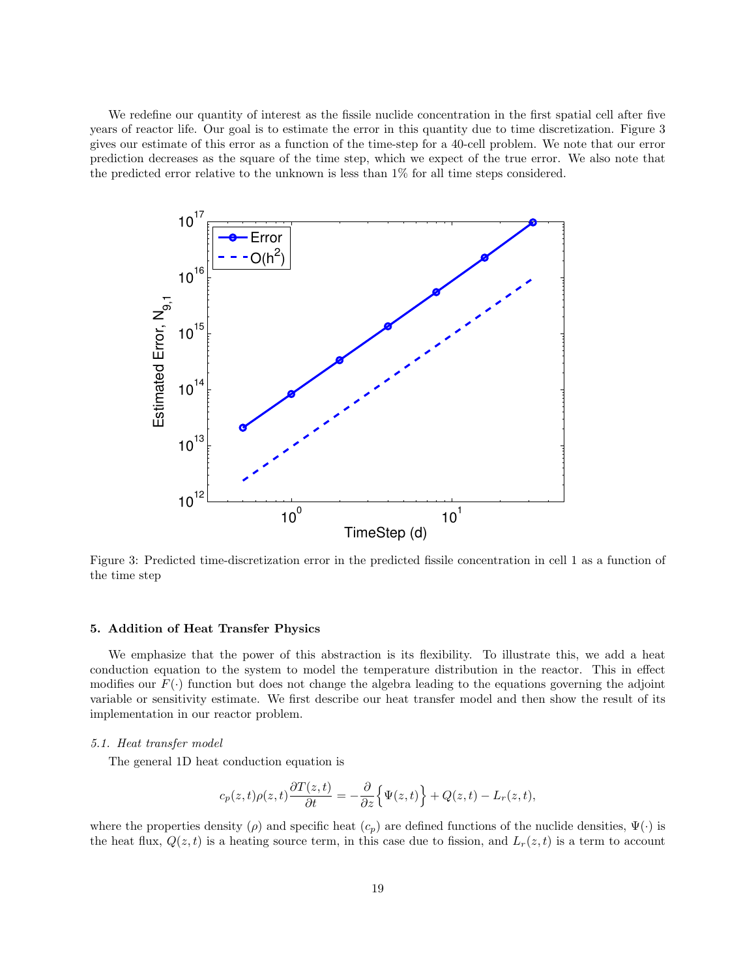We redefine our quantity of interest as the fissile nuclide concentration in the first spatial cell after five years of reactor life. Our goal is to estimate the error in this quantity due to time discretization. Figure 3 gives our estimate of this error as a function of the time-step for a 40-cell problem. We note that our error prediction decreases as the square of the time step, which we expect of the true error. We also note that the predicted error relative to the unknown is less than 1% for all time steps considered.



Figure 3: Predicted time-discretization error in the predicted fissile concentration in cell 1 as a function of the time step

# 5. Addition of Heat Transfer Physics

We emphasize that the power of this abstraction is its flexibility. To illustrate this, we add a heat conduction equation to the system to model the temperature distribution in the reactor. This in effect modifies our  $F(\cdot)$  function but does not change the algebra leading to the equations governing the adjoint variable or sensitivity estimate. We first describe our heat transfer model and then show the result of its implementation in our reactor problem.

# 5.1. Heat transfer model

The general 1D heat conduction equation is

$$
c_p(z,t)\rho(z,t)\frac{\partial T(z,t)}{\partial t}=-\frac{\partial}{\partial z}\Big\{\Psi(z,t)\Big\}+Q(z,t)-L_r(z,t),
$$

where the properties density ( $\rho$ ) and specific heat  $(c_p)$  are defined functions of the nuclide densities,  $\Psi(\cdot)$  is the heat flux,  $Q(z, t)$  is a heating source term, in this case due to fission, and  $L_r(z, t)$  is a term to account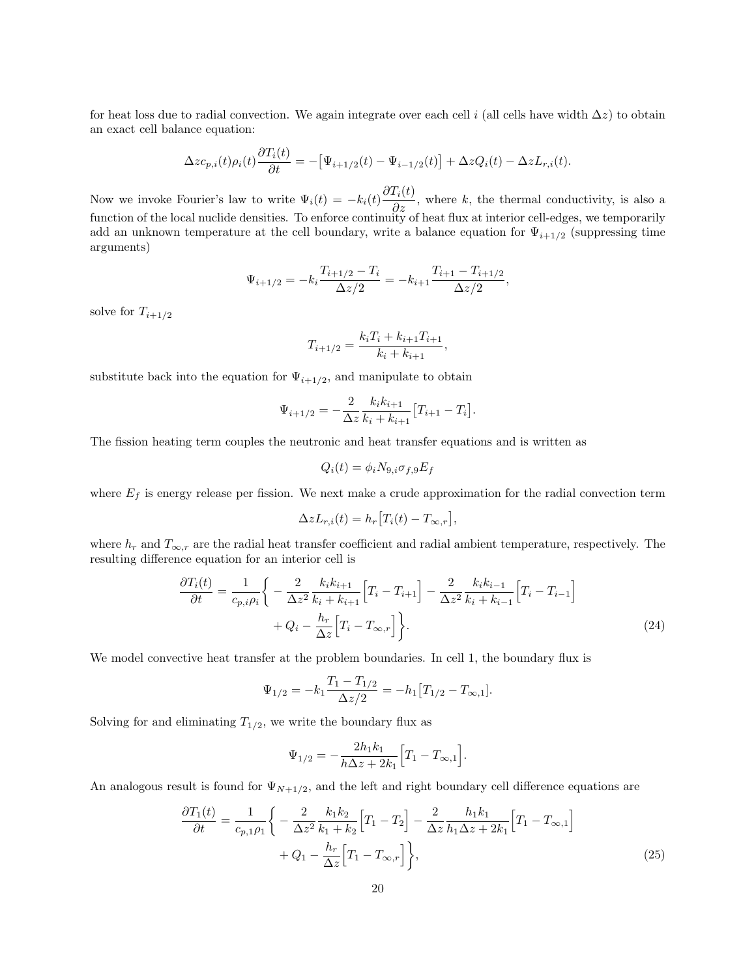for heat loss due to radial convection. We again integrate over each cell i (all cells have width  $\Delta z$ ) to obtain an exact cell balance equation:

$$
\Delta z c_{p,i}(t)\rho_i(t)\frac{\partial T_i(t)}{\partial t} = -\big[\Psi_{i+1/2}(t) - \Psi_{i-1/2}(t)\big] + \Delta z Q_i(t) - \Delta z L_{r,i}(t).
$$

Now we invoke Fourier's law to write  $\Psi_i(t) = -k_i(t) \frac{\partial T_i(t)}{\partial z}$ , where k, the thermal conductivity, is also a function of the local nuclide densities. To enforce continuity of heat flux at interior cell-edges, we temporari add an unknown temperature at the cell boundary, write a balance equation for  $\Psi_{i+1/2}$  (suppressing time arguments)

$$
\Psi_{i+1/2} = -k_i \frac{T_{i+1/2} - T_i}{\Delta z/2} = -k_{i+1} \frac{T_{i+1} - T_{i+1/2}}{\Delta z/2},
$$

solve for  $T_{i+1/2}$ 

$$
T_{i+1/2} = \frac{k_i T_i + k_{i+1} T_{i+1}}{k_i + k_{i+1}},
$$

substitute back into the equation for  $\Psi_{i+1/2}$ , and manipulate to obtain

$$
\Psi_{i+1/2} = -\frac{2}{\Delta z} \frac{k_i k_{i+1}}{k_i + k_{i+1}} \left[ T_{i+1} - T_i \right].
$$

The fission heating term couples the neutronic and heat transfer equations and is written as

$$
Q_i(t) = \phi_i N_{9,i} \sigma_{f,9} E_f
$$

where  $E_f$  is energy release per fission. We next make a crude approximation for the radial convection term

$$
\Delta z L_{r,i}(t) = h_r [T_i(t) - T_{\infty,r}],
$$

where  $h_r$  and  $T_{\infty,r}$  are the radial heat transfer coefficient and radial ambient temperature, respectively. The resulting difference equation for an interior cell is

$$
\frac{\partial T_i(t)}{\partial t} = \frac{1}{c_{p,i}\rho_i} \bigg\{ -\frac{2}{\Delta z^2} \frac{k_i k_{i+1}}{k_i + k_{i+1}} \Big[ T_i - T_{i+1} \Big] - \frac{2}{\Delta z^2} \frac{k_i k_{i-1}}{k_i + k_{i-1}} \Big[ T_i - T_{i-1} \Big] + Q_i - \frac{h_r}{\Delta z} \Big[ T_i - T_{\infty,r} \Big] \bigg\}.
$$
\n(24)

We model convective heat transfer at the problem boundaries. In cell 1, the boundary flux is

$$
\Psi_{1/2} = -k_1 \frac{T_1 - T_{1/2}}{\Delta z/2} = -h_1 [T_{1/2} - T_{\infty,1}].
$$

Solving for and eliminating  $T_{1/2}$ , we write the boundary flux as

$$
\Psi_{1/2} = -\frac{2h_1k_1}{h\Delta z + 2k_1} \Big[ T_1 - T_{\infty,1} \Big].
$$

An analogous result is found for  $\Psi_{N+1/2}$ , and the left and right boundary cell difference equations are

$$
\frac{\partial T_1(t)}{\partial t} = \frac{1}{c_{p,1}\rho_1} \left\{ -\frac{2}{\Delta z^2} \frac{k_1 k_2}{k_1 + k_2} \Big[ T_1 - T_2 \Big] - \frac{2}{\Delta z} \frac{h_1 k_1}{h_1 \Delta z + 2k_1} \Big[ T_1 - T_{\infty,1} \Big] + Q_1 - \frac{h_r}{\Delta z} \Big[ T_1 - T_{\infty,r} \Big] \right\},\tag{25}
$$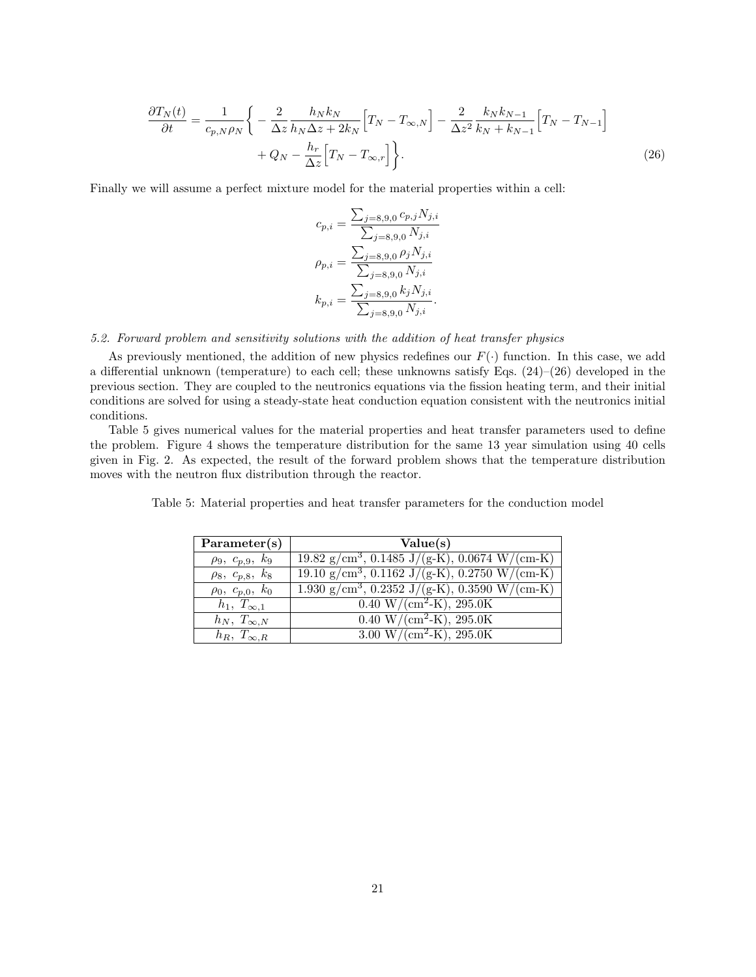$$
\frac{\partial T_N(t)}{\partial t} = \frac{1}{c_{p,N}\rho_N} \left\{ -\frac{2}{\Delta z} \frac{h_N k_N}{h_N \Delta z + 2k_N} \left[ T_N - T_{\infty,N} \right] - \frac{2}{\Delta z^2} \frac{k_N k_{N-1}}{k_N + k_{N-1}} \left[ T_N - T_{N-1} \right] + Q_N - \frac{h_r}{\Delta z} \left[ T_N - T_{\infty,r} \right] \right\}.
$$
\n(26)

Finally we will assume a perfect mixture model for the material properties within a cell:

$$
c_{p,i} = \frac{\sum_{j=8,9,0} c_{p,j} N_{j,i}}{\sum_{j=8,9,0} N_{j,i}}
$$

$$
\rho_{p,i} = \frac{\sum_{j=8,9,0} \rho_j N_{j,i}}{\sum_{j=8,9,0} N_{j,i}}
$$

$$
k_{p,i} = \frac{\sum_{j=8,9,0} k_j N_{j,i}}{\sum_{j=8,9,0} N_{j,i}}.
$$

5.2. Forward problem and sensitivity solutions with the addition of heat transfer physics

As previously mentioned, the addition of new physics redefines our  $F(\cdot)$  function. In this case, we add a differential unknown (temperature) to each cell; these unknowns satisfy Eqs. (24)–(26) developed in the previous section. They are coupled to the neutronics equations via the fission heating term, and their initial conditions are solved for using a steady-state heat conduction equation consistent with the neutronics initial conditions.

Table 5 gives numerical values for the material properties and heat transfer parameters used to define the problem. Figure 4 shows the temperature distribution for the same 13 year simulation using 40 cells given in Fig. 2. As expected, the result of the forward problem shows that the temperature distribution moves with the neutron flux distribution through the reactor.

Table 5: Material properties and heat transfer parameters for the conduction model

| Parameter(s)           | Value(s)                                                                                                                                              |
|------------------------|-------------------------------------------------------------------------------------------------------------------------------------------------------|
| $\rho_9, c_{p,9}, k_9$ | $19.82 \text{ g/cm}^3$ , 0.1485 J/(g-K), 0.0674 W/(cm-K)                                                                                              |
| $\rho_8, c_{p,8}, k_8$ | $\frac{19.10 \text{ g/cm}^3, 0.1162 \text{ J/(g-K)}, 0.2750 \text{ W/(cm-K)}}{19.10 \text{ g/cm}^3, 0.1162 \text{ J/(g-K)}, 0.2750 \text{ W/(cm-K)}}$ |
| $\rho_0, c_{p,0}, k_0$ | $\frac{1.930 \text{ g/cm}^3, 0.2352 \text{ J/(g-K)}, 0.3590 \text{ W/(cm-K)}}{1.930 \text{ g/cm}^3, 0.2352 \text{ J/(g-K)}}$                          |
| $h_1, T_{\infty,1}$    | $0.40 \text{ W}/(\text{cm}^2\text{-K}), 295.0 \text{K}$                                                                                               |
| $h_N, T_{\infty,N}$    | $0.40 \text{ W}/(\text{cm}^2\text{-K})$ , 295.0K                                                                                                      |
| $h_R, T_{\infty,R}$    | $3.00 \text{ W}/(\text{cm}^2\text{-K})$ , 295.0K                                                                                                      |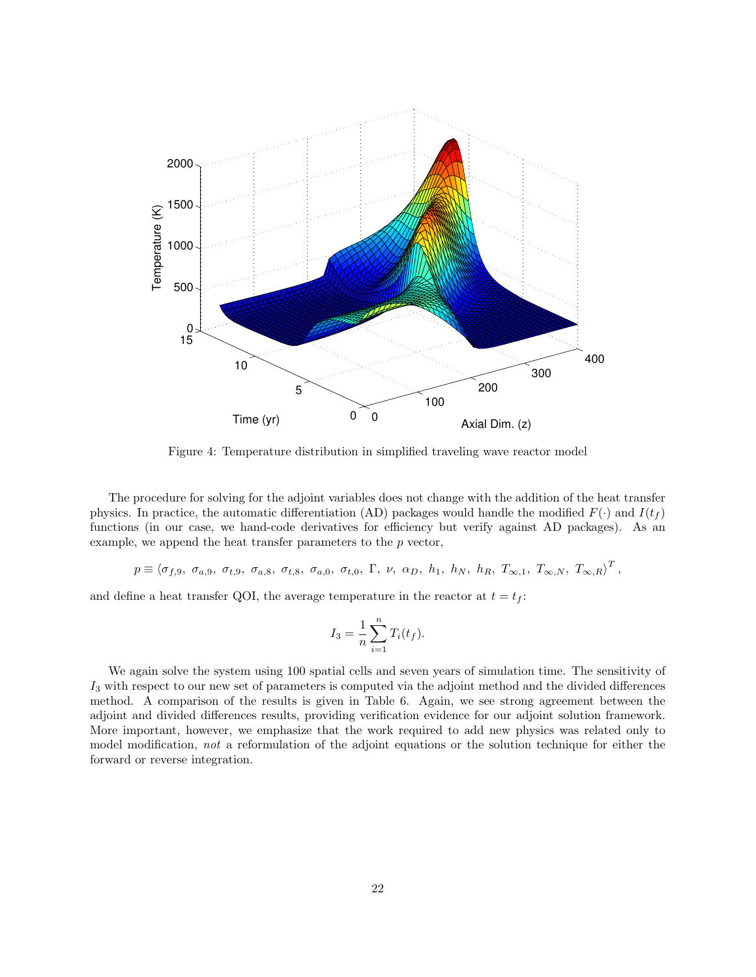

Figure 4: Temperature distribution in simplified traveling wave reactor model

The procedure for solving for the adjoint variables does not change with the addition of the heat transfer physics. In practice, the automatic differentiation (AD) packages would handle the modified  $F(\cdot)$  and  $I(t_f)$ functions (in our case, we hand-code derivatives for efficiency but verify against AD packages). As an example, we append the heat transfer parameters to the  $p$  vector,

$$
p \equiv \langle \sigma_{f,9}, \ \sigma_{a,9}, \ \sigma_{t,9}, \ \sigma_{a,8}, \ \sigma_{t,8}, \ \sigma_{a,0}, \ \sigma_{t,0}, \ \Gamma, \ \nu, \ \alpha_D, \ h_1, \ h_N, \ h_R, \ T_{\infty,1}, \ T_{\infty,N}, \ T_{\infty,R} \rangle^T,
$$

and define a heat transfer QOI, the average temperature in the reactor at  $t = t_f$ :

$$
I_3 = \frac{1}{n} \sum_{i=1}^{n} T_i(t_f).
$$

We again solve the system using 100 spatial cells and seven years of simulation time. The sensitivity of  $I_3$  with respect to our new set of parameters is computed via the adjoint method and the divided differences method. A comparison of the results is given in Table 6. Again, we see strong agreement between the adjoint and divided differences results, providing verification evidence for our adjoint solution framework. More important, however, we emphasize that the work required to add new physics was related only to model modification, not a reformulation of the adjoint equations or the solution technique for either the forward or reverse integration.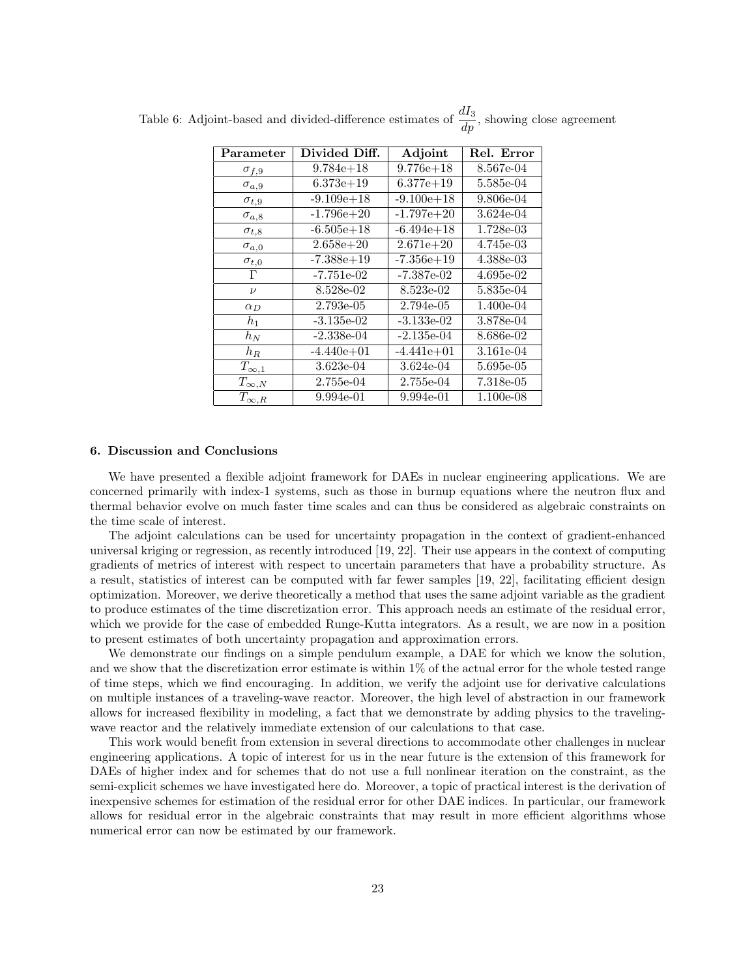| Parameter                  | Divided Diff.  | Adjoint        | Rel. Error |
|----------------------------|----------------|----------------|------------|
| $\sigma_{f,9}$             | $9.784e + 18$  | $9.776e + 18$  | 8.567e-04  |
| $\sigma_{a,9}$             | $6.373e+19$    | $6.377e+19$    | 5.585e-04  |
| $\sigma_{t,9}$             | $-9.109e + 18$ | $-9.100e + 18$ | 9.806e-04  |
| $\sigma_{a,8}$             | $-1.796e + 20$ | $-1.797e + 20$ | 3.624e-04  |
| $\sigma_{t,8}$             | $-6.505e+18$   | $-6.494e+18$   | 1.728e-03  |
| $\sigma_{a,0}$             | $2.658e + 20$  | $2.671e + 20$  | 4.745e-03  |
| $\sigma_{t,0}$             | $-7.388e+19$   | $-7.356e + 19$ | 4.388e-03  |
| $\overline{\Gamma}$        | $-7.751e-02$   | $-7.387e-02$   | 4.695e-02  |
| $\overline{\nu}$           | 8.528e-02      | 8.523e-02      | 5.835e-04  |
| $\alpha_D$                 | 2.793e-05      | 2.794e-05      | 1.400e-04  |
| $h_1$                      | $-3.135e-02$   | $-3.133e-02$   | 3.878e-04  |
| $h_N$                      | $-2.338e-04$   | $-2.135e-04$   | 8.686e-02  |
| $h_R$                      | $-4.440e+01$   | $-4.441e + 01$ | 3.161e-04  |
| $T_{\infty,1}$             | 3.623e-04      | 3.624e-04      | 5.695e-05  |
| $T_{\infty,N}$             | 2.755e-04      | 2.755e-04      | 7.318e-05  |
| $T_{\infty,\underline{R}}$ | 9.994e-01      | 9.994e-01      | 1.100e-08  |

Table 6: Adjoint-based and divided-difference estimates of  $\frac{dI_3}{dp}$ , showing close agreement

# 6. Discussion and Conclusions

We have presented a flexible adjoint framework for DAEs in nuclear engineering applications. We are concerned primarily with index-1 systems, such as those in burnup equations where the neutron flux and thermal behavior evolve on much faster time scales and can thus be considered as algebraic constraints on the time scale of interest.

The adjoint calculations can be used for uncertainty propagation in the context of gradient-enhanced universal kriging or regression, as recently introduced [19, 22]. Their use appears in the context of computing gradients of metrics of interest with respect to uncertain parameters that have a probability structure. As a result, statistics of interest can be computed with far fewer samples [19, 22], facilitating efficient design optimization. Moreover, we derive theoretically a method that uses the same adjoint variable as the gradient to produce estimates of the time discretization error. This approach needs an estimate of the residual error, which we provide for the case of embedded Runge-Kutta integrators. As a result, we are now in a position to present estimates of both uncertainty propagation and approximation errors.

We demonstrate our findings on a simple pendulum example, a DAE for which we know the solution, and we show that the discretization error estimate is within 1% of the actual error for the whole tested range of time steps, which we find encouraging. In addition, we verify the adjoint use for derivative calculations on multiple instances of a traveling-wave reactor. Moreover, the high level of abstraction in our framework allows for increased flexibility in modeling, a fact that we demonstrate by adding physics to the travelingwave reactor and the relatively immediate extension of our calculations to that case.

This work would benefit from extension in several directions to accommodate other challenges in nuclear engineering applications. A topic of interest for us in the near future is the extension of this framework for DAEs of higher index and for schemes that do not use a full nonlinear iteration on the constraint, as the semi-explicit schemes we have investigated here do. Moreover, a topic of practical interest is the derivation of inexpensive schemes for estimation of the residual error for other DAE indices. In particular, our framework allows for residual error in the algebraic constraints that may result in more efficient algorithms whose numerical error can now be estimated by our framework.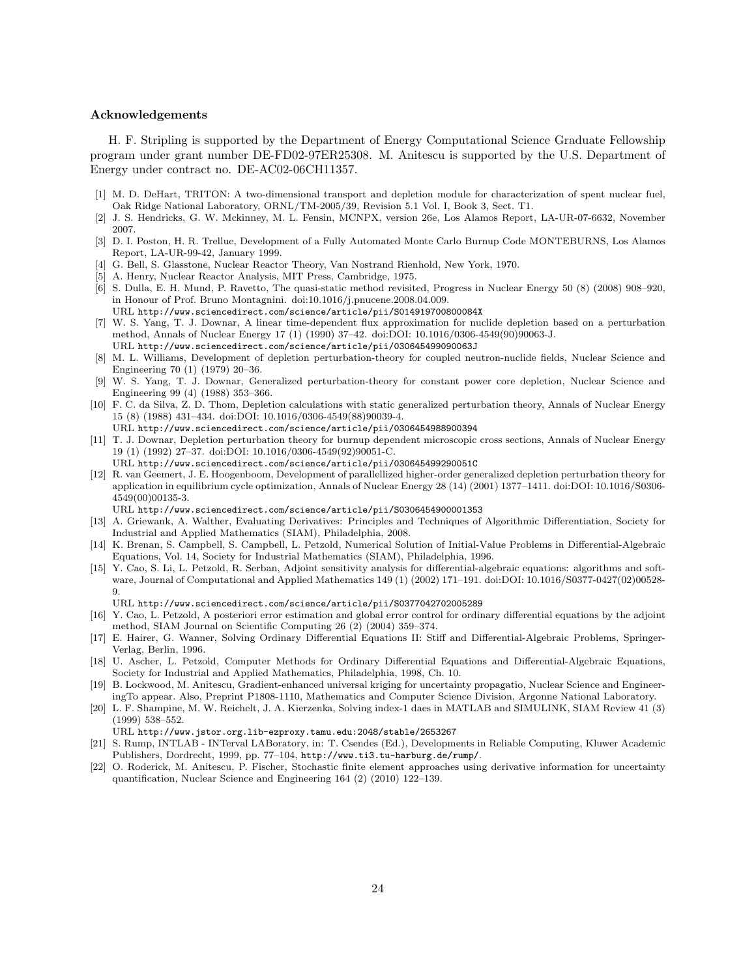## Acknowledgements

H. F. Stripling is supported by the Department of Energy Computational Science Graduate Fellowship program under grant number DE-FD02-97ER25308. M. Anitescu is supported by the U.S. Department of Energy under contract no. DE-AC02-06CH11357.

- [1] M. D. DeHart, TRITON: A two-dimensional transport and depletion module for characterization of spent nuclear fuel, Oak Ridge National Laboratory, ORNL/TM-2005/39, Revision 5.1 Vol. I, Book 3, Sect. T1.
- [2] J. S. Hendricks, G. W. Mckinney, M. L. Fensin, MCNPX, version 26e, Los Alamos Report, LA-UR-07-6632, November 2007.
- [3] D. I. Poston, H. R. Trellue, Development of a Fully Automated Monte Carlo Burnup Code MONTEBURNS, Los Alamos Report, LA-UR-99-42, January 1999.
- [4] G. Bell, S. Glasstone, Nuclear Reactor Theory, Van Nostrand Rienhold, New York, 1970.
- [5] A. Henry, Nuclear Reactor Analysis, MIT Press, Cambridge, 1975.
- [6] S. Dulla, E. H. Mund, P. Ravetto, The quasi-static method revisited, Progress in Nuclear Energy 50 (8) (2008) 908–920, in Honour of Prof. Bruno Montagnini. doi:10.1016/j.pnucene.2008.04.009.
- URL http://www.sciencedirect.com/science/article/pii/S014919700800084X [7] W. S. Yang, T. J. Downar, A linear time-dependent flux approximation for nuclide depletion based on a perturbation method, Annals of Nuclear Energy 17 (1) (1990) 37–42. doi:DOI: 10.1016/0306-4549(90)90063-J. URL http://www.sciencedirect.com/science/article/pii/030645499090063J
- [8] M. L. Williams, Development of depletion perturbation-theory for coupled neutron-nuclide fields, Nuclear Science and Engineering 70 (1) (1979) 20–36.
- [9] W. S. Yang, T. J. Downar, Generalized perturbation-theory for constant power core depletion, Nuclear Science and Engineering 99 (4) (1988) 353–366.
- [10] F. C. da Silva, Z. D. Thom, Depletion calculations with static generalized perturbation theory, Annals of Nuclear Energy 15 (8) (1988) 431–434. doi:DOI: 10.1016/0306-4549(88)90039-4. URL http://www.sciencedirect.com/science/article/pii/0306454988900394
- [11] T. J. Downar, Depletion perturbation theory for burnup dependent microscopic cross sections, Annals of Nuclear Energy 19 (1) (1992) 27–37. doi:DOI: 10.1016/0306-4549(92)90051-C.
- URL http://www.sciencedirect.com/science/article/pii/030645499290051C [12] R. van Geemert, J. E. Hoogenboom, Development of parallellized higher-order generalized depletion perturbation theory for application in equilibrium cycle optimization, Annals of Nuclear Energy 28 (14) (2001) 1377–1411. doi:DOI: 10.1016/S0306- 4549(00)00135-3.
- URL http://www.sciencedirect.com/science/article/pii/S0306454900001353
- [13] A. Griewank, A. Walther, Evaluating Derivatives: Principles and Techniques of Algorithmic Differentiation, Society for Industrial and Applied Mathematics (SIAM), Philadelphia, 2008.
- [14] K. Brenan, S. Campbell, S. Campbell, L. Petzold, Numerical Solution of Initial-Value Problems in Differential-Algebraic Equations, Vol. 14, Society for Industrial Mathematics (SIAM), Philadelphia, 1996.
- [15] Y. Cao, S. Li, L. Petzold, R. Serban, Adjoint sensitivity analysis for differential-algebraic equations: algorithms and software, Journal of Computational and Applied Mathematics 149 (1) (2002) 171–191. doi:DOI: 10.1016/S0377-0427(02)00528- 9.
	- URL http://www.sciencedirect.com/science/article/pii/S0377042702005289
- [16] Y. Cao, L. Petzold, A posteriori error estimation and global error control for ordinary differential equations by the adjoint method, SIAM Journal on Scientific Computing 26 (2) (2004) 359–374.
- [17] E. Hairer, G. Wanner, Solving Ordinary Differential Equations II: Stiff and Differential-Algebraic Problems, Springer-Verlag, Berlin, 1996.
- [18] U. Ascher, L. Petzold, Computer Methods for Ordinary Differential Equations and Differential-Algebraic Equations, Society for Industrial and Applied Mathematics, Philadelphia, 1998, Ch. 10.
- [19] B. Lockwood, M. Anitescu, Gradient-enhanced universal kriging for uncertainty propagatio, Nuclear Science and EngineeringTo appear. Also, Preprint P1808-1110, Mathematics and Computer Science Division, Argonne National Laboratory.
- [20] L. F. Shampine, M. W. Reichelt, J. A. Kierzenka, Solving index-1 daes in MATLAB and SIMULINK, SIAM Review 41 (3) (1999) 538–552.
- URL http://www.jstor.org.lib-ezproxy.tamu.edu:2048/stable/2653267 [21] S. Rump, INTLAB - INTerval LABoratory, in: T. Csendes (Ed.), Developments in Reliable Computing, Kluwer Academic
- Publishers, Dordrecht, 1999, pp. 77–104, http://www.ti3.tu-harburg.de/rump/. [22] O. Roderick, M. Anitescu, P. Fischer, Stochastic finite element approaches using derivative information for uncertainty quantification, Nuclear Science and Engineering 164 (2) (2010) 122–139.